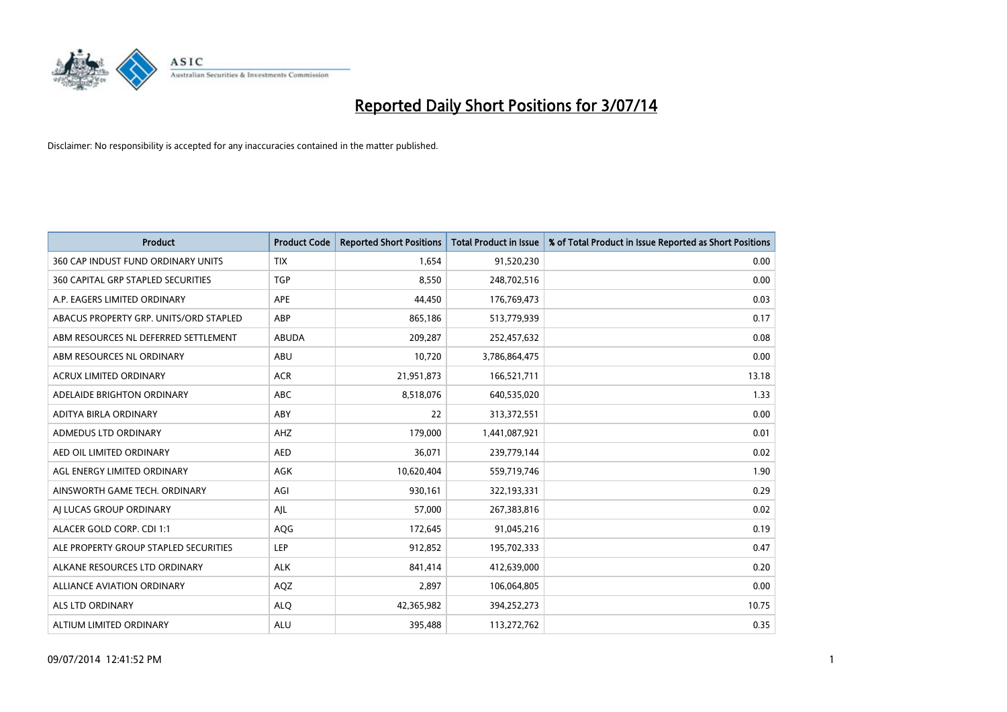

| <b>Product</b>                         | <b>Product Code</b> | <b>Reported Short Positions</b> | <b>Total Product in Issue</b> | % of Total Product in Issue Reported as Short Positions |
|----------------------------------------|---------------------|---------------------------------|-------------------------------|---------------------------------------------------------|
| 360 CAP INDUST FUND ORDINARY UNITS     | <b>TIX</b>          | 1,654                           | 91,520,230                    | 0.00                                                    |
| 360 CAPITAL GRP STAPLED SECURITIES     | <b>TGP</b>          | 8,550                           | 248,702,516                   | 0.00                                                    |
| A.P. EAGERS LIMITED ORDINARY           | APE                 | 44,450                          | 176,769,473                   | 0.03                                                    |
| ABACUS PROPERTY GRP. UNITS/ORD STAPLED | ABP                 | 865,186                         | 513,779,939                   | 0.17                                                    |
| ABM RESOURCES NL DEFERRED SETTLEMENT   | <b>ABUDA</b>        | 209,287                         | 252,457,632                   | 0.08                                                    |
| ABM RESOURCES NL ORDINARY              | ABU                 | 10,720                          | 3,786,864,475                 | 0.00                                                    |
| <b>ACRUX LIMITED ORDINARY</b>          | <b>ACR</b>          | 21,951,873                      | 166,521,711                   | 13.18                                                   |
| ADELAIDE BRIGHTON ORDINARY             | <b>ABC</b>          | 8,518,076                       | 640,535,020                   | 1.33                                                    |
| ADITYA BIRLA ORDINARY                  | ABY                 | 22                              | 313,372,551                   | 0.00                                                    |
| ADMEDUS LTD ORDINARY                   | AHZ                 | 179,000                         | 1,441,087,921                 | 0.01                                                    |
| AED OIL LIMITED ORDINARY               | <b>AED</b>          | 36,071                          | 239,779,144                   | 0.02                                                    |
| AGL ENERGY LIMITED ORDINARY            | AGK                 | 10,620,404                      | 559,719,746                   | 1.90                                                    |
| AINSWORTH GAME TECH. ORDINARY          | AGI                 | 930,161                         | 322,193,331                   | 0.29                                                    |
| AI LUCAS GROUP ORDINARY                | AJL                 | 57,000                          | 267,383,816                   | 0.02                                                    |
| ALACER GOLD CORP. CDI 1:1              | AQG                 | 172,645                         | 91,045,216                    | 0.19                                                    |
| ALE PROPERTY GROUP STAPLED SECURITIES  | LEP                 | 912,852                         | 195,702,333                   | 0.47                                                    |
| ALKANE RESOURCES LTD ORDINARY          | <b>ALK</b>          | 841,414                         | 412,639,000                   | 0.20                                                    |
| <b>ALLIANCE AVIATION ORDINARY</b>      | AQZ                 | 2,897                           | 106,064,805                   | 0.00                                                    |
| ALS LTD ORDINARY                       | <b>ALO</b>          | 42,365,982                      | 394,252,273                   | 10.75                                                   |
| ALTIUM LIMITED ORDINARY                | <b>ALU</b>          | 395,488                         | 113,272,762                   | 0.35                                                    |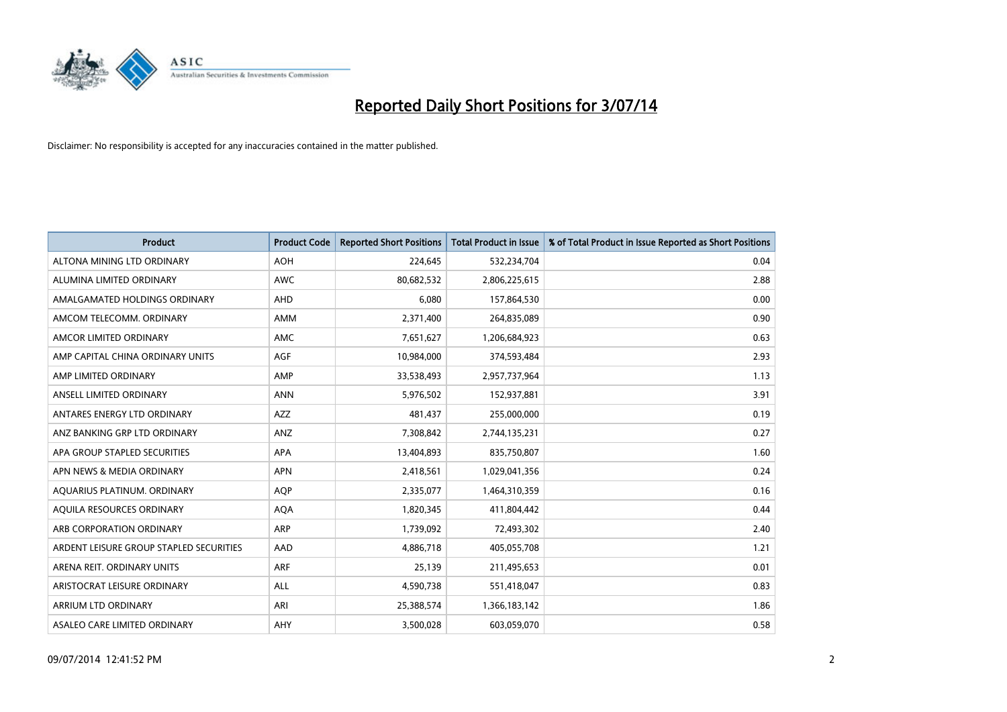

| <b>Product</b>                          | <b>Product Code</b> | <b>Reported Short Positions</b> | <b>Total Product in Issue</b> | % of Total Product in Issue Reported as Short Positions |
|-----------------------------------------|---------------------|---------------------------------|-------------------------------|---------------------------------------------------------|
| ALTONA MINING LTD ORDINARY              | <b>AOH</b>          | 224,645                         | 532,234,704                   | 0.04                                                    |
| ALUMINA LIMITED ORDINARY                | AWC                 | 80,682,532                      | 2,806,225,615                 | 2.88                                                    |
| AMALGAMATED HOLDINGS ORDINARY           | AHD                 | 6,080                           | 157,864,530                   | 0.00                                                    |
| AMCOM TELECOMM. ORDINARY                | AMM                 | 2,371,400                       | 264,835,089                   | 0.90                                                    |
| AMCOR LIMITED ORDINARY                  | AMC                 | 7,651,627                       | 1,206,684,923                 | 0.63                                                    |
| AMP CAPITAL CHINA ORDINARY UNITS        | <b>AGF</b>          | 10,984,000                      | 374,593,484                   | 2.93                                                    |
| AMP LIMITED ORDINARY                    | AMP                 | 33,538,493                      | 2,957,737,964                 | 1.13                                                    |
| ANSELL LIMITED ORDINARY                 | <b>ANN</b>          | 5,976,502                       | 152,937,881                   | 3.91                                                    |
| ANTARES ENERGY LTD ORDINARY             | <b>AZZ</b>          | 481,437                         | 255,000,000                   | 0.19                                                    |
| ANZ BANKING GRP LTD ORDINARY            | ANZ                 | 7,308,842                       | 2,744,135,231                 | 0.27                                                    |
| APA GROUP STAPLED SECURITIES            | APA                 | 13,404,893                      | 835,750,807                   | 1.60                                                    |
| APN NEWS & MEDIA ORDINARY               | <b>APN</b>          | 2,418,561                       | 1,029,041,356                 | 0.24                                                    |
| AQUARIUS PLATINUM. ORDINARY             | <b>AOP</b>          | 2,335,077                       | 1,464,310,359                 | 0.16                                                    |
| AQUILA RESOURCES ORDINARY               | <b>AQA</b>          | 1,820,345                       | 411,804,442                   | 0.44                                                    |
| ARB CORPORATION ORDINARY                | ARP                 | 1,739,092                       | 72,493,302                    | 2.40                                                    |
| ARDENT LEISURE GROUP STAPLED SECURITIES | AAD                 | 4,886,718                       | 405,055,708                   | 1.21                                                    |
| ARENA REIT. ORDINARY UNITS              | <b>ARF</b>          | 25,139                          | 211,495,653                   | 0.01                                                    |
| ARISTOCRAT LEISURE ORDINARY             | <b>ALL</b>          | 4,590,738                       | 551,418,047                   | 0.83                                                    |
| ARRIUM LTD ORDINARY                     | ARI                 | 25,388,574                      | 1,366,183,142                 | 1.86                                                    |
| ASALEO CARE LIMITED ORDINARY            | AHY                 | 3,500,028                       | 603,059,070                   | 0.58                                                    |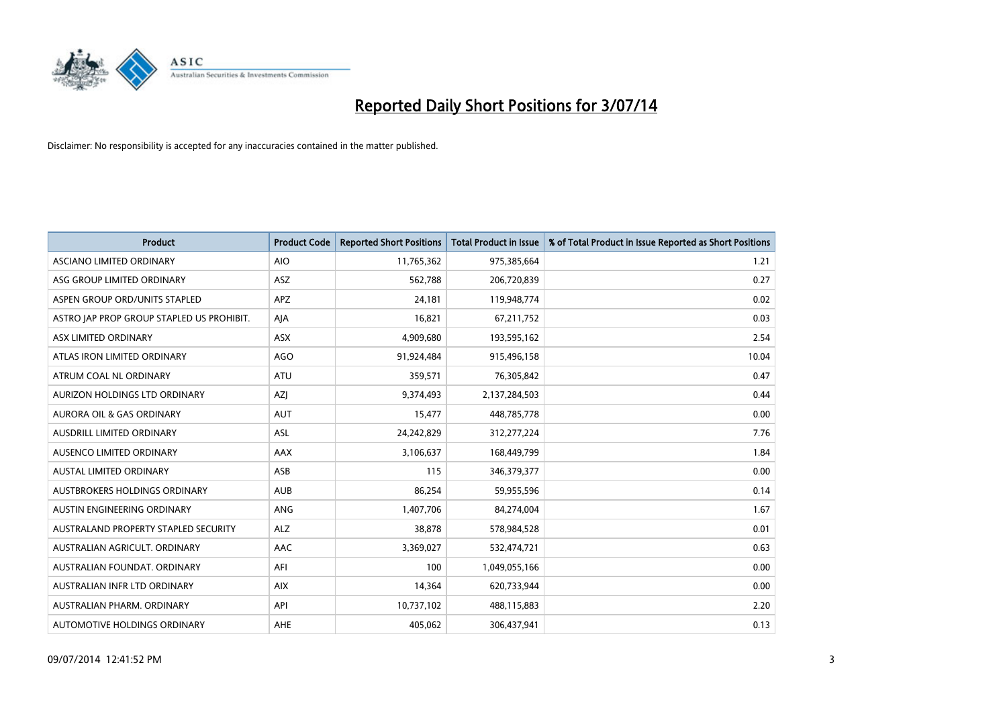

| <b>Product</b>                            | <b>Product Code</b> | <b>Reported Short Positions</b> | <b>Total Product in Issue</b> | % of Total Product in Issue Reported as Short Positions |
|-------------------------------------------|---------------------|---------------------------------|-------------------------------|---------------------------------------------------------|
| ASCIANO LIMITED ORDINARY                  | <b>AIO</b>          | 11,765,362                      | 975,385,664                   | 1.21                                                    |
| ASG GROUP LIMITED ORDINARY                | ASZ                 | 562,788                         | 206,720,839                   | 0.27                                                    |
| ASPEN GROUP ORD/UNITS STAPLED             | <b>APZ</b>          | 24,181                          | 119,948,774                   | 0.02                                                    |
| ASTRO JAP PROP GROUP STAPLED US PROHIBIT. | AJA                 | 16,821                          | 67,211,752                    | 0.03                                                    |
| ASX LIMITED ORDINARY                      | ASX                 | 4,909,680                       | 193,595,162                   | 2.54                                                    |
| ATLAS IRON LIMITED ORDINARY               | AGO                 | 91,924,484                      | 915,496,158                   | 10.04                                                   |
| ATRUM COAL NL ORDINARY                    | ATU                 | 359,571                         | 76,305,842                    | 0.47                                                    |
| AURIZON HOLDINGS LTD ORDINARY             | AZJ                 | 9,374,493                       | 2,137,284,503                 | 0.44                                                    |
| <b>AURORA OIL &amp; GAS ORDINARY</b>      | <b>AUT</b>          | 15,477                          | 448,785,778                   | 0.00                                                    |
| AUSDRILL LIMITED ORDINARY                 | <b>ASL</b>          | 24,242,829                      | 312,277,224                   | 7.76                                                    |
| AUSENCO LIMITED ORDINARY                  | AAX                 | 3,106,637                       | 168,449,799                   | 1.84                                                    |
| <b>AUSTAL LIMITED ORDINARY</b>            | ASB                 | 115                             | 346,379,377                   | 0.00                                                    |
| AUSTBROKERS HOLDINGS ORDINARY             | <b>AUB</b>          | 86,254                          | 59,955,596                    | 0.14                                                    |
| AUSTIN ENGINEERING ORDINARY               | ANG                 | 1,407,706                       | 84,274,004                    | 1.67                                                    |
| AUSTRALAND PROPERTY STAPLED SECURITY      | <b>ALZ</b>          | 38,878                          | 578,984,528                   | 0.01                                                    |
| AUSTRALIAN AGRICULT. ORDINARY             | AAC                 | 3,369,027                       | 532,474,721                   | 0.63                                                    |
| AUSTRALIAN FOUNDAT. ORDINARY              | AFI                 | 100                             | 1,049,055,166                 | 0.00                                                    |
| AUSTRALIAN INFR LTD ORDINARY              | <b>AIX</b>          | 14,364                          | 620,733,944                   | 0.00                                                    |
| AUSTRALIAN PHARM, ORDINARY                | API                 | 10,737,102                      | 488,115,883                   | 2.20                                                    |
| AUTOMOTIVE HOLDINGS ORDINARY              | AHE                 | 405,062                         | 306,437,941                   | 0.13                                                    |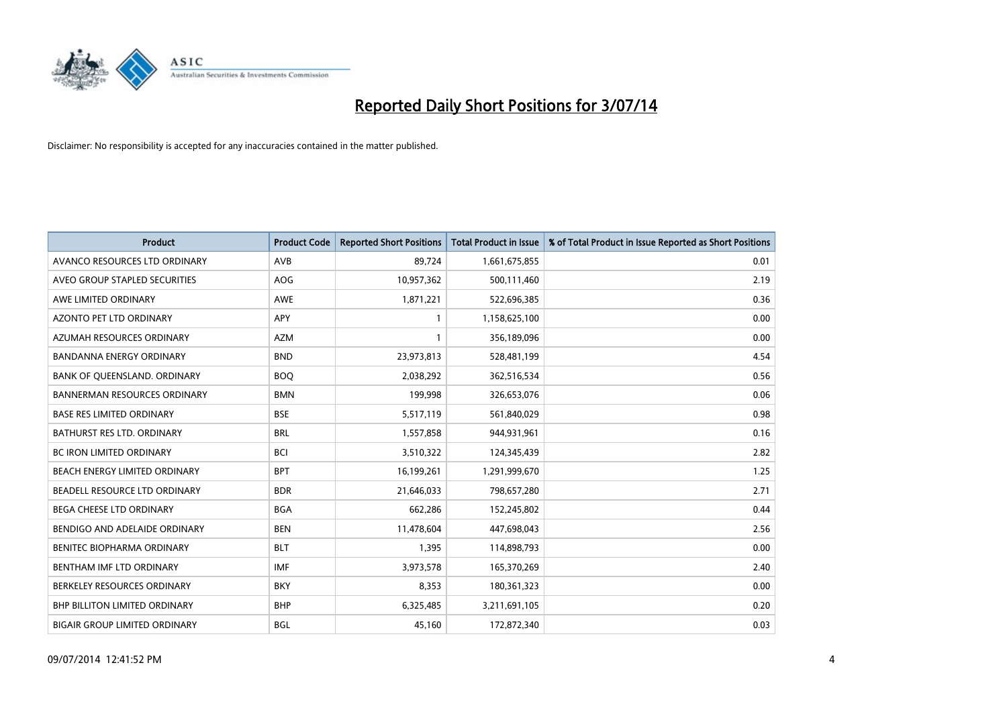

| <b>Product</b>                       | <b>Product Code</b> | <b>Reported Short Positions</b> | <b>Total Product in Issue</b> | % of Total Product in Issue Reported as Short Positions |
|--------------------------------------|---------------------|---------------------------------|-------------------------------|---------------------------------------------------------|
| AVANCO RESOURCES LTD ORDINARY        | AVB                 | 89,724                          | 1,661,675,855                 | 0.01                                                    |
| AVEO GROUP STAPLED SECURITIES        | <b>AOG</b>          | 10,957,362                      | 500,111,460                   | 2.19                                                    |
| AWE LIMITED ORDINARY                 | <b>AWE</b>          | 1,871,221                       | 522,696,385                   | 0.36                                                    |
| AZONTO PET LTD ORDINARY              | <b>APY</b>          | $\mathbf{1}$                    | 1,158,625,100                 | 0.00                                                    |
| AZUMAH RESOURCES ORDINARY            | <b>AZM</b>          | $\mathbf{1}$                    | 356,189,096                   | 0.00                                                    |
| <b>BANDANNA ENERGY ORDINARY</b>      | <b>BND</b>          | 23,973,813                      | 528,481,199                   | 4.54                                                    |
| BANK OF QUEENSLAND. ORDINARY         | <b>BOQ</b>          | 2,038,292                       | 362,516,534                   | 0.56                                                    |
| <b>BANNERMAN RESOURCES ORDINARY</b>  | <b>BMN</b>          | 199,998                         | 326,653,076                   | 0.06                                                    |
| <b>BASE RES LIMITED ORDINARY</b>     | <b>BSE</b>          | 5,517,119                       | 561,840,029                   | 0.98                                                    |
| <b>BATHURST RES LTD. ORDINARY</b>    | <b>BRL</b>          | 1,557,858                       | 944,931,961                   | 0.16                                                    |
| BC IRON LIMITED ORDINARY             | <b>BCI</b>          | 3,510,322                       | 124,345,439                   | 2.82                                                    |
| BEACH ENERGY LIMITED ORDINARY        | <b>BPT</b>          | 16,199,261                      | 1,291,999,670                 | 1.25                                                    |
| BEADELL RESOURCE LTD ORDINARY        | <b>BDR</b>          | 21,646,033                      | 798,657,280                   | 2.71                                                    |
| <b>BEGA CHEESE LTD ORDINARY</b>      | <b>BGA</b>          | 662,286                         | 152,245,802                   | 0.44                                                    |
| BENDIGO AND ADELAIDE ORDINARY        | <b>BEN</b>          | 11,478,604                      | 447,698,043                   | 2.56                                                    |
| BENITEC BIOPHARMA ORDINARY           | <b>BLT</b>          | 1,395                           | 114,898,793                   | 0.00                                                    |
| BENTHAM IMF LTD ORDINARY             | <b>IMF</b>          | 3,973,578                       | 165,370,269                   | 2.40                                                    |
| BERKELEY RESOURCES ORDINARY          | <b>BKY</b>          | 8,353                           | 180,361,323                   | 0.00                                                    |
| <b>BHP BILLITON LIMITED ORDINARY</b> | <b>BHP</b>          | 6,325,485                       | 3,211,691,105                 | 0.20                                                    |
| <b>BIGAIR GROUP LIMITED ORDINARY</b> | <b>BGL</b>          | 45,160                          | 172,872,340                   | 0.03                                                    |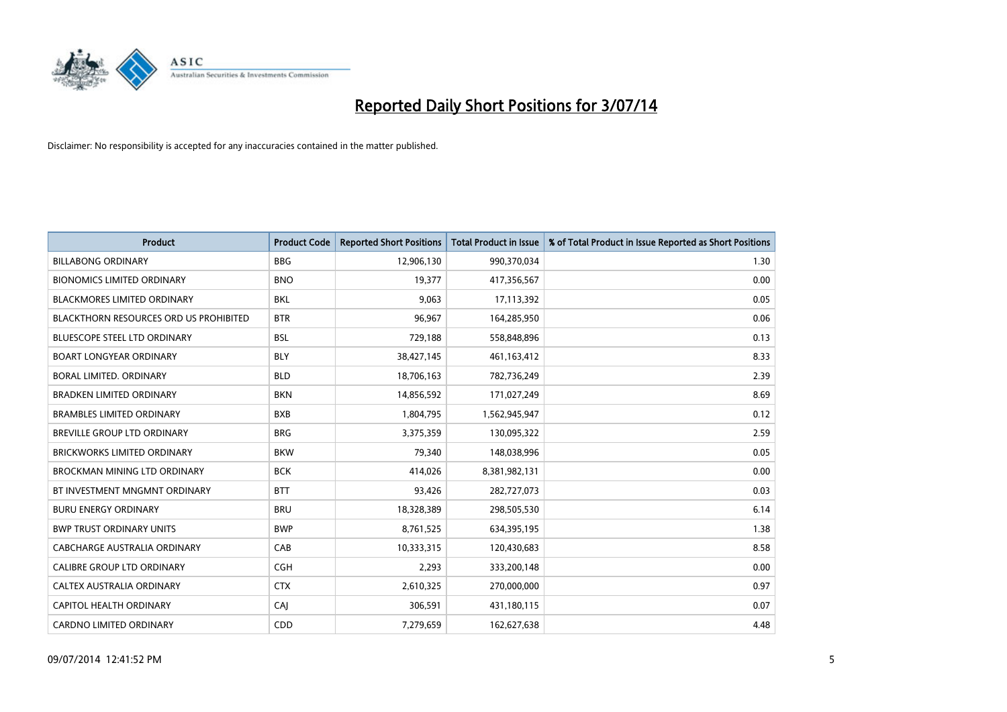

| <b>Product</b>                                | <b>Product Code</b> | <b>Reported Short Positions</b> | <b>Total Product in Issue</b> | % of Total Product in Issue Reported as Short Positions |
|-----------------------------------------------|---------------------|---------------------------------|-------------------------------|---------------------------------------------------------|
| <b>BILLABONG ORDINARY</b>                     | <b>BBG</b>          | 12,906,130                      | 990,370,034                   | 1.30                                                    |
| <b>BIONOMICS LIMITED ORDINARY</b>             | <b>BNO</b>          | 19,377                          | 417,356,567                   | 0.00                                                    |
| <b>BLACKMORES LIMITED ORDINARY</b>            | BKL                 | 9,063                           | 17,113,392                    | 0.05                                                    |
| <b>BLACKTHORN RESOURCES ORD US PROHIBITED</b> | <b>BTR</b>          | 96,967                          | 164,285,950                   | 0.06                                                    |
| <b>BLUESCOPE STEEL LTD ORDINARY</b>           | <b>BSL</b>          | 729,188                         | 558,848,896                   | 0.13                                                    |
| <b>BOART LONGYEAR ORDINARY</b>                | <b>BLY</b>          | 38,427,145                      | 461,163,412                   | 8.33                                                    |
| <b>BORAL LIMITED, ORDINARY</b>                | <b>BLD</b>          | 18,706,163                      | 782,736,249                   | 2.39                                                    |
| <b>BRADKEN LIMITED ORDINARY</b>               | <b>BKN</b>          | 14,856,592                      | 171,027,249                   | 8.69                                                    |
| <b>BRAMBLES LIMITED ORDINARY</b>              | <b>BXB</b>          | 1,804,795                       | 1,562,945,947                 | 0.12                                                    |
| <b>BREVILLE GROUP LTD ORDINARY</b>            | <b>BRG</b>          | 3,375,359                       | 130,095,322                   | 2.59                                                    |
| <b>BRICKWORKS LIMITED ORDINARY</b>            | <b>BKW</b>          | 79,340                          | 148,038,996                   | 0.05                                                    |
| <b>BROCKMAN MINING LTD ORDINARY</b>           | <b>BCK</b>          | 414,026                         | 8,381,982,131                 | 0.00                                                    |
| BT INVESTMENT MNGMNT ORDINARY                 | <b>BTT</b>          | 93,426                          | 282,727,073                   | 0.03                                                    |
| <b>BURU ENERGY ORDINARY</b>                   | <b>BRU</b>          | 18,328,389                      | 298,505,530                   | 6.14                                                    |
| <b>BWP TRUST ORDINARY UNITS</b>               | <b>BWP</b>          | 8,761,525                       | 634,395,195                   | 1.38                                                    |
| <b>CABCHARGE AUSTRALIA ORDINARY</b>           | CAB                 | 10,333,315                      | 120,430,683                   | 8.58                                                    |
| CALIBRE GROUP LTD ORDINARY                    | <b>CGH</b>          | 2,293                           | 333,200,148                   | 0.00                                                    |
| CALTEX AUSTRALIA ORDINARY                     | <b>CTX</b>          | 2,610,325                       | 270,000,000                   | 0.97                                                    |
| CAPITOL HEALTH ORDINARY                       | CAJ                 | 306,591                         | 431,180,115                   | 0.07                                                    |
| <b>CARDNO LIMITED ORDINARY</b>                | CDD                 | 7,279,659                       | 162,627,638                   | 4.48                                                    |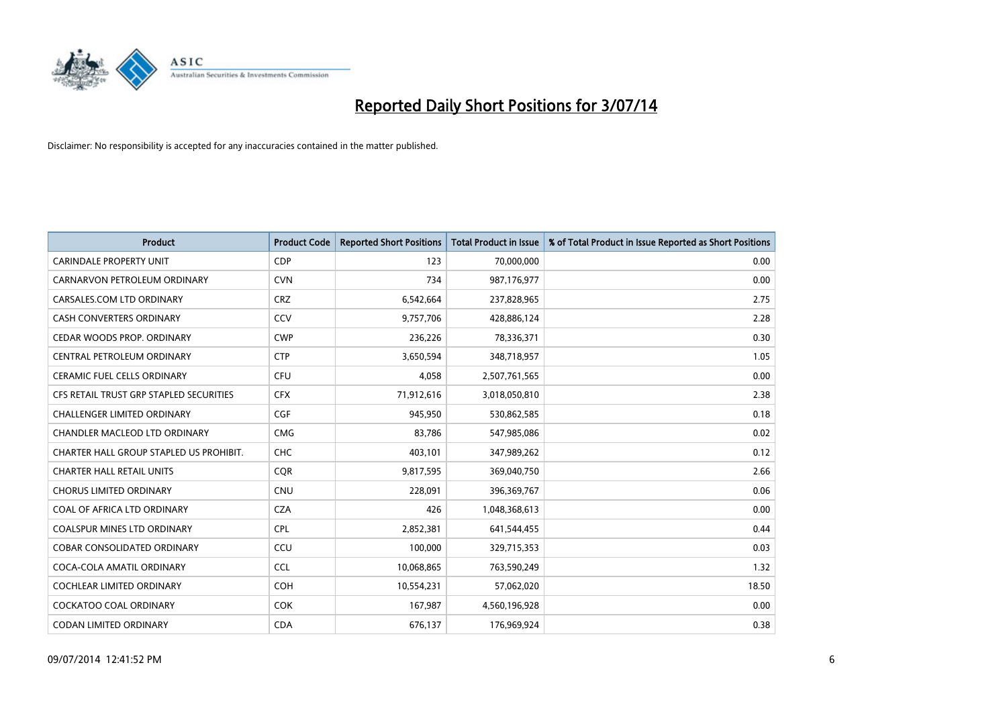

| <b>Product</b>                          | <b>Product Code</b> | <b>Reported Short Positions</b> | <b>Total Product in Issue</b> | % of Total Product in Issue Reported as Short Positions |
|-----------------------------------------|---------------------|---------------------------------|-------------------------------|---------------------------------------------------------|
| <b>CARINDALE PROPERTY UNIT</b>          | <b>CDP</b>          | 123                             | 70,000,000                    | 0.00                                                    |
| CARNARVON PETROLEUM ORDINARY            | <b>CVN</b>          | 734                             | 987,176,977                   | 0.00                                                    |
| CARSALES.COM LTD ORDINARY               | <b>CRZ</b>          | 6,542,664                       | 237,828,965                   | 2.75                                                    |
| CASH CONVERTERS ORDINARY                | CCV                 | 9,757,706                       | 428,886,124                   | 2.28                                                    |
| CEDAR WOODS PROP. ORDINARY              | <b>CWP</b>          | 236,226                         | 78,336,371                    | 0.30                                                    |
| CENTRAL PETROLEUM ORDINARY              | <b>CTP</b>          | 3,650,594                       | 348,718,957                   | 1.05                                                    |
| CERAMIC FUEL CELLS ORDINARY             | <b>CFU</b>          | 4,058                           | 2,507,761,565                 | 0.00                                                    |
| CFS RETAIL TRUST GRP STAPLED SECURITIES | <b>CFX</b>          | 71,912,616                      | 3,018,050,810                 | 2.38                                                    |
| <b>CHALLENGER LIMITED ORDINARY</b>      | <b>CGF</b>          | 945.950                         | 530,862,585                   | 0.18                                                    |
| CHANDLER MACLEOD LTD ORDINARY           | <b>CMG</b>          | 83,786                          | 547,985,086                   | 0.02                                                    |
| CHARTER HALL GROUP STAPLED US PROHIBIT. | <b>CHC</b>          | 403,101                         | 347,989,262                   | 0.12                                                    |
| <b>CHARTER HALL RETAIL UNITS</b>        | <b>CQR</b>          | 9,817,595                       | 369,040,750                   | 2.66                                                    |
| <b>CHORUS LIMITED ORDINARY</b>          | <b>CNU</b>          | 228,091                         | 396,369,767                   | 0.06                                                    |
| COAL OF AFRICA LTD ORDINARY             | <b>CZA</b>          | 426                             | 1,048,368,613                 | 0.00                                                    |
| <b>COALSPUR MINES LTD ORDINARY</b>      | <b>CPL</b>          | 2,852,381                       | 641,544,455                   | 0.44                                                    |
| <b>COBAR CONSOLIDATED ORDINARY</b>      | CCU                 | 100,000                         | 329,715,353                   | 0.03                                                    |
| COCA-COLA AMATIL ORDINARY               | <b>CCL</b>          | 10,068,865                      | 763,590,249                   | 1.32                                                    |
| COCHLEAR LIMITED ORDINARY               | <b>COH</b>          | 10,554,231                      | 57,062,020                    | 18.50                                                   |
| <b>COCKATOO COAL ORDINARY</b>           | <b>COK</b>          | 167,987                         | 4,560,196,928                 | 0.00                                                    |
| CODAN LIMITED ORDINARY                  | <b>CDA</b>          | 676,137                         | 176,969,924                   | 0.38                                                    |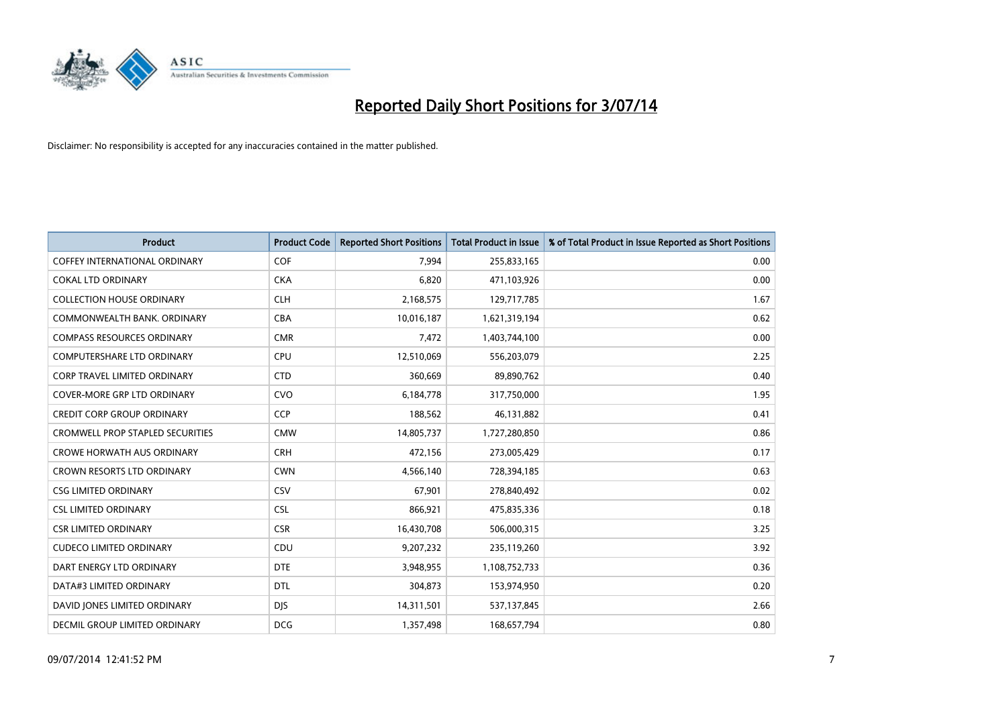

| <b>Product</b>                          | <b>Product Code</b> | <b>Reported Short Positions</b> | <b>Total Product in Issue</b> | % of Total Product in Issue Reported as Short Positions |
|-----------------------------------------|---------------------|---------------------------------|-------------------------------|---------------------------------------------------------|
| <b>COFFEY INTERNATIONAL ORDINARY</b>    | <b>COF</b>          | 7.994                           | 255,833,165                   | 0.00                                                    |
| <b>COKAL LTD ORDINARY</b>               | <b>CKA</b>          | 6,820                           | 471,103,926                   | 0.00                                                    |
| <b>COLLECTION HOUSE ORDINARY</b>        | <b>CLH</b>          | 2,168,575                       | 129,717,785                   | 1.67                                                    |
| COMMONWEALTH BANK, ORDINARY             | <b>CBA</b>          | 10,016,187                      | 1,621,319,194                 | 0.62                                                    |
| <b>COMPASS RESOURCES ORDINARY</b>       | <b>CMR</b>          | 7,472                           | 1,403,744,100                 | 0.00                                                    |
| COMPUTERSHARE LTD ORDINARY              | <b>CPU</b>          | 12,510,069                      | 556,203,079                   | 2.25                                                    |
| <b>CORP TRAVEL LIMITED ORDINARY</b>     | <b>CTD</b>          | 360,669                         | 89,890,762                    | 0.40                                                    |
| <b>COVER-MORE GRP LTD ORDINARY</b>      | <b>CVO</b>          | 6,184,778                       | 317,750,000                   | 1.95                                                    |
| <b>CREDIT CORP GROUP ORDINARY</b>       | CCP                 | 188,562                         | 46,131,882                    | 0.41                                                    |
| <b>CROMWELL PROP STAPLED SECURITIES</b> | <b>CMW</b>          | 14,805,737                      | 1,727,280,850                 | 0.86                                                    |
| <b>CROWE HORWATH AUS ORDINARY</b>       | <b>CRH</b>          | 472,156                         | 273,005,429                   | 0.17                                                    |
| <b>CROWN RESORTS LTD ORDINARY</b>       | <b>CWN</b>          | 4,566,140                       | 728,394,185                   | 0.63                                                    |
| <b>CSG LIMITED ORDINARY</b>             | CSV                 | 67,901                          | 278,840,492                   | 0.02                                                    |
| <b>CSL LIMITED ORDINARY</b>             | <b>CSL</b>          | 866,921                         | 475,835,336                   | 0.18                                                    |
| <b>CSR LIMITED ORDINARY</b>             | <b>CSR</b>          | 16,430,708                      | 506,000,315                   | 3.25                                                    |
| <b>CUDECO LIMITED ORDINARY</b>          | CDU                 | 9,207,232                       | 235,119,260                   | 3.92                                                    |
| DART ENERGY LTD ORDINARY                | <b>DTE</b>          | 3,948,955                       | 1,108,752,733                 | 0.36                                                    |
| DATA#3 LIMITED ORDINARY                 | <b>DTL</b>          | 304,873                         | 153,974,950                   | 0.20                                                    |
| DAVID JONES LIMITED ORDINARY            | <b>DJS</b>          | 14,311,501                      | 537,137,845                   | 2.66                                                    |
| DECMIL GROUP LIMITED ORDINARY           | <b>DCG</b>          | 1,357,498                       | 168,657,794                   | 0.80                                                    |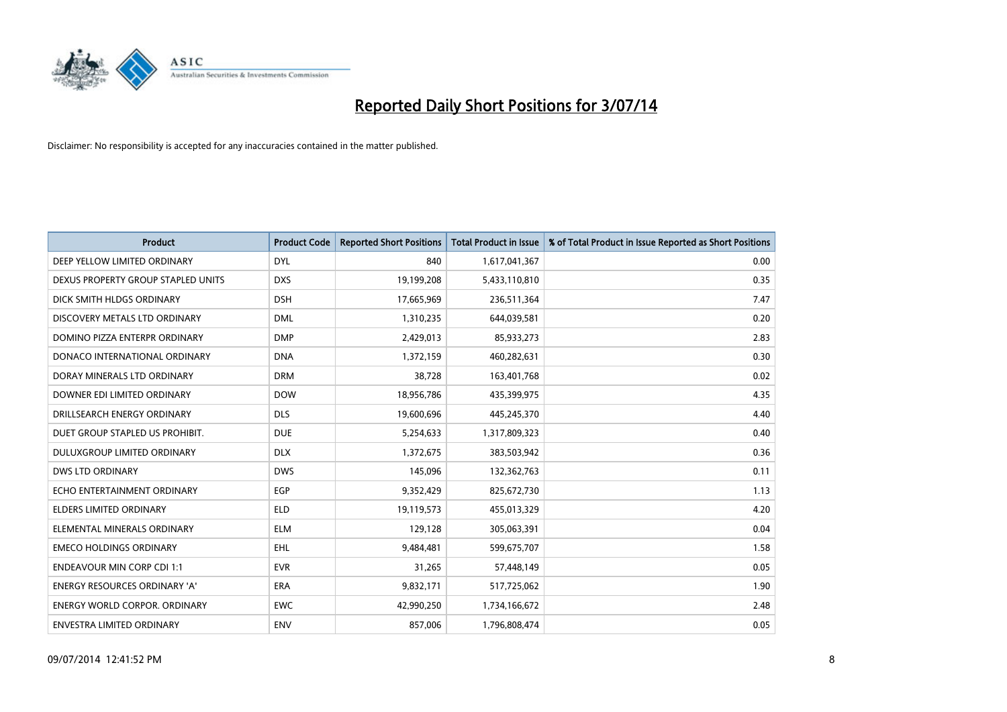

| <b>Product</b>                       | <b>Product Code</b> | <b>Reported Short Positions</b> | <b>Total Product in Issue</b> | % of Total Product in Issue Reported as Short Positions |
|--------------------------------------|---------------------|---------------------------------|-------------------------------|---------------------------------------------------------|
| DEEP YELLOW LIMITED ORDINARY         | <b>DYL</b>          | 840                             | 1,617,041,367                 | 0.00                                                    |
| DEXUS PROPERTY GROUP STAPLED UNITS   | <b>DXS</b>          | 19,199,208                      | 5,433,110,810                 | 0.35                                                    |
| DICK SMITH HLDGS ORDINARY            | <b>DSH</b>          | 17,665,969                      | 236,511,364                   | 7.47                                                    |
| DISCOVERY METALS LTD ORDINARY        | <b>DML</b>          | 1,310,235                       | 644,039,581                   | 0.20                                                    |
| DOMINO PIZZA ENTERPR ORDINARY        | <b>DMP</b>          | 2,429,013                       | 85,933,273                    | 2.83                                                    |
| DONACO INTERNATIONAL ORDINARY        | <b>DNA</b>          | 1,372,159                       | 460,282,631                   | 0.30                                                    |
| DORAY MINERALS LTD ORDINARY          | <b>DRM</b>          | 38,728                          | 163,401,768                   | 0.02                                                    |
| DOWNER EDI LIMITED ORDINARY          | <b>DOW</b>          | 18,956,786                      | 435,399,975                   | 4.35                                                    |
| DRILLSEARCH ENERGY ORDINARY          | <b>DLS</b>          | 19,600,696                      | 445,245,370                   | 4.40                                                    |
| DUET GROUP STAPLED US PROHIBIT.      | <b>DUE</b>          | 5,254,633                       | 1,317,809,323                 | 0.40                                                    |
| DULUXGROUP LIMITED ORDINARY          | <b>DLX</b>          | 1,372,675                       | 383,503,942                   | 0.36                                                    |
| <b>DWS LTD ORDINARY</b>              | <b>DWS</b>          | 145,096                         | 132,362,763                   | 0.11                                                    |
| ECHO ENTERTAINMENT ORDINARY          | <b>EGP</b>          | 9,352,429                       | 825,672,730                   | 1.13                                                    |
| <b>ELDERS LIMITED ORDINARY</b>       | <b>ELD</b>          | 19,119,573                      | 455,013,329                   | 4.20                                                    |
| ELEMENTAL MINERALS ORDINARY          | <b>ELM</b>          | 129,128                         | 305,063,391                   | 0.04                                                    |
| <b>EMECO HOLDINGS ORDINARY</b>       | <b>EHL</b>          | 9,484,481                       | 599,675,707                   | 1.58                                                    |
| <b>ENDEAVOUR MIN CORP CDI 1:1</b>    | <b>EVR</b>          | 31,265                          | 57,448,149                    | 0.05                                                    |
| ENERGY RESOURCES ORDINARY 'A'        | <b>ERA</b>          | 9,832,171                       | 517,725,062                   | 1.90                                                    |
| <b>ENERGY WORLD CORPOR, ORDINARY</b> | <b>EWC</b>          | 42,990,250                      | 1,734,166,672                 | 2.48                                                    |
| ENVESTRA LIMITED ORDINARY            | ENV                 | 857,006                         | 1,796,808,474                 | 0.05                                                    |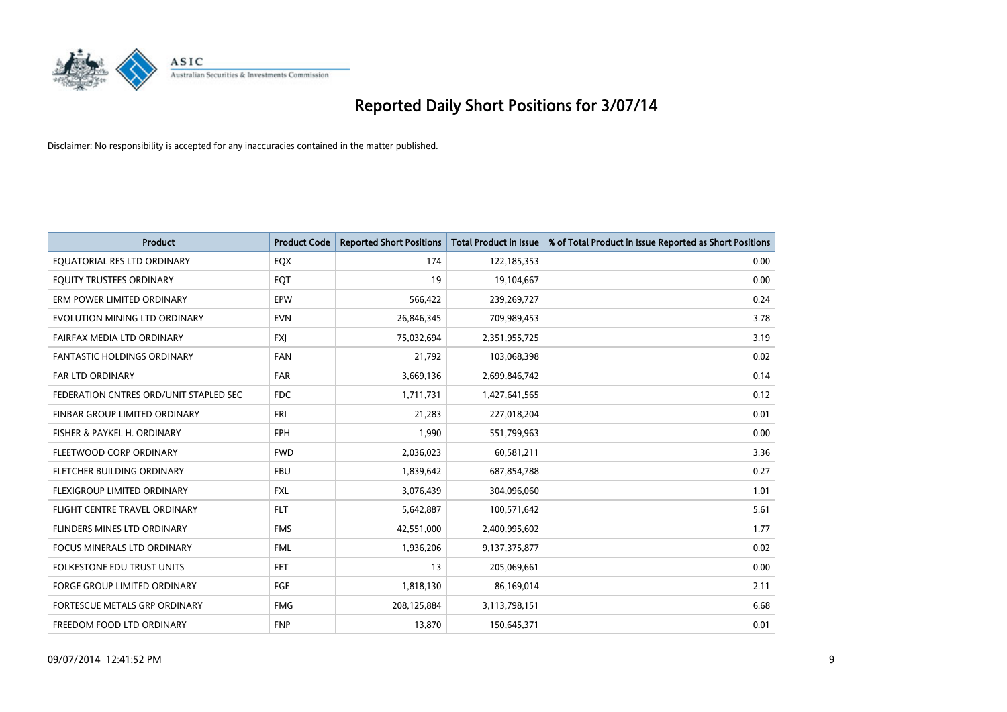

| <b>Product</b>                         | <b>Product Code</b> | <b>Reported Short Positions</b> | <b>Total Product in Issue</b> | % of Total Product in Issue Reported as Short Positions |
|----------------------------------------|---------------------|---------------------------------|-------------------------------|---------------------------------------------------------|
| EQUATORIAL RES LTD ORDINARY            | EQX                 | 174                             | 122,185,353                   | 0.00                                                    |
| EQUITY TRUSTEES ORDINARY               | EQT                 | 19                              | 19,104,667                    | 0.00                                                    |
| ERM POWER LIMITED ORDINARY             | <b>EPW</b>          | 566,422                         | 239,269,727                   | 0.24                                                    |
| EVOLUTION MINING LTD ORDINARY          | <b>EVN</b>          | 26,846,345                      | 709,989,453                   | 3.78                                                    |
| FAIRFAX MEDIA LTD ORDINARY             | <b>FXI</b>          | 75,032,694                      | 2,351,955,725                 | 3.19                                                    |
| <b>FANTASTIC HOLDINGS ORDINARY</b>     | <b>FAN</b>          | 21,792                          | 103,068,398                   | 0.02                                                    |
| <b>FAR LTD ORDINARY</b>                | <b>FAR</b>          | 3,669,136                       | 2,699,846,742                 | 0.14                                                    |
| FEDERATION CNTRES ORD/UNIT STAPLED SEC | <b>FDC</b>          | 1,711,731                       | 1,427,641,565                 | 0.12                                                    |
| FINBAR GROUP LIMITED ORDINARY          | <b>FRI</b>          | 21,283                          | 227,018,204                   | 0.01                                                    |
| FISHER & PAYKEL H. ORDINARY            | <b>FPH</b>          | 1,990                           | 551,799,963                   | 0.00                                                    |
| FLEETWOOD CORP ORDINARY                | <b>FWD</b>          | 2,036,023                       | 60,581,211                    | 3.36                                                    |
| FLETCHER BUILDING ORDINARY             | <b>FBU</b>          | 1,839,642                       | 687,854,788                   | 0.27                                                    |
| FLEXIGROUP LIMITED ORDINARY            | FXL                 | 3,076,439                       | 304,096,060                   | 1.01                                                    |
| FLIGHT CENTRE TRAVEL ORDINARY          | <b>FLT</b>          | 5,642,887                       | 100,571,642                   | 5.61                                                    |
| FLINDERS MINES LTD ORDINARY            | <b>FMS</b>          | 42,551,000                      | 2,400,995,602                 | 1.77                                                    |
| <b>FOCUS MINERALS LTD ORDINARY</b>     | <b>FML</b>          | 1,936,206                       | 9,137,375,877                 | 0.02                                                    |
| <b>FOLKESTONE EDU TRUST UNITS</b>      | <b>FET</b>          | 13                              | 205,069,661                   | 0.00                                                    |
| FORGE GROUP LIMITED ORDINARY           | FGE                 | 1,818,130                       | 86,169,014                    | 2.11                                                    |
| FORTESCUE METALS GRP ORDINARY          | <b>FMG</b>          | 208,125,884                     | 3,113,798,151                 | 6.68                                                    |
| FREEDOM FOOD LTD ORDINARY              | <b>FNP</b>          | 13,870                          | 150,645,371                   | 0.01                                                    |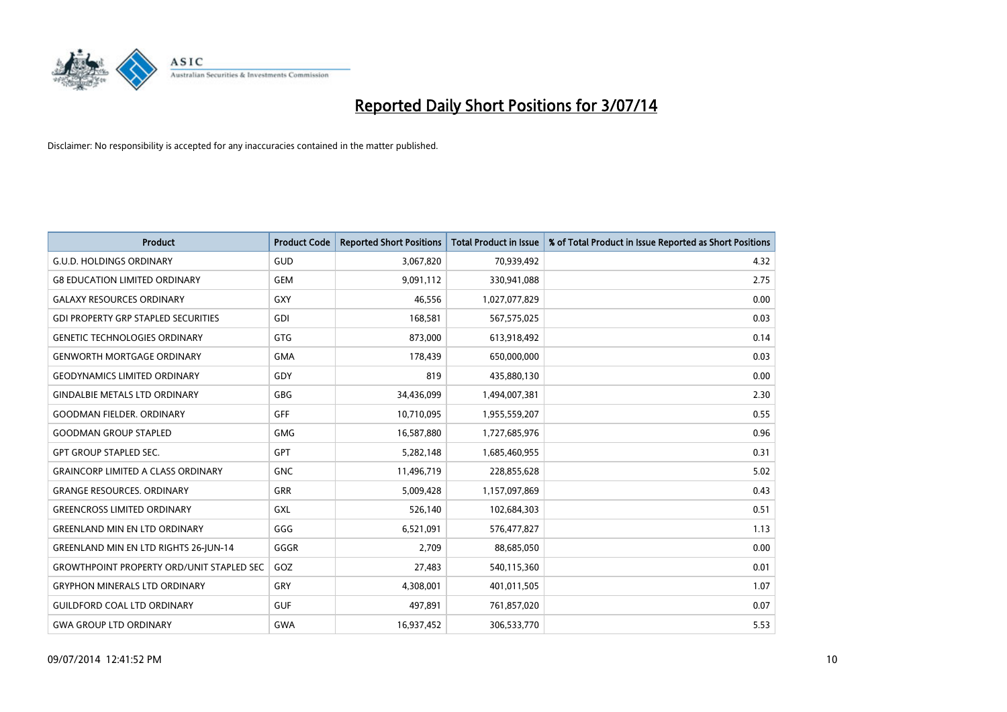

| <b>Product</b>                                   | <b>Product Code</b> | <b>Reported Short Positions</b> | <b>Total Product in Issue</b> | % of Total Product in Issue Reported as Short Positions |
|--------------------------------------------------|---------------------|---------------------------------|-------------------------------|---------------------------------------------------------|
| <b>G.U.D. HOLDINGS ORDINARY</b>                  | GUD                 | 3,067,820                       | 70,939,492                    | 4.32                                                    |
| <b>G8 EDUCATION LIMITED ORDINARY</b>             | <b>GEM</b>          | 9,091,112                       | 330,941,088                   | 2.75                                                    |
| <b>GALAXY RESOURCES ORDINARY</b>                 | <b>GXY</b>          | 46,556                          | 1,027,077,829                 | 0.00                                                    |
| <b>GDI PROPERTY GRP STAPLED SECURITIES</b>       | <b>GDI</b>          | 168,581                         | 567,575,025                   | 0.03                                                    |
| <b>GENETIC TECHNOLOGIES ORDINARY</b>             | <b>GTG</b>          | 873,000                         | 613,918,492                   | 0.14                                                    |
| <b>GENWORTH MORTGAGE ORDINARY</b>                | <b>GMA</b>          | 178,439                         | 650,000,000                   | 0.03                                                    |
| <b>GEODYNAMICS LIMITED ORDINARY</b>              | GDY                 | 819                             | 435,880,130                   | 0.00                                                    |
| <b>GINDALBIE METALS LTD ORDINARY</b>             | GBG                 | 34,436,099                      | 1,494,007,381                 | 2.30                                                    |
| <b>GOODMAN FIELDER, ORDINARY</b>                 | <b>GFF</b>          | 10,710,095                      | 1,955,559,207                 | 0.55                                                    |
| <b>GOODMAN GROUP STAPLED</b>                     | <b>GMG</b>          | 16,587,880                      | 1,727,685,976                 | 0.96                                                    |
| <b>GPT GROUP STAPLED SEC.</b>                    | GPT                 | 5,282,148                       | 1,685,460,955                 | 0.31                                                    |
| <b>GRAINCORP LIMITED A CLASS ORDINARY</b>        | <b>GNC</b>          | 11,496,719                      | 228,855,628                   | 5.02                                                    |
| <b>GRANGE RESOURCES. ORDINARY</b>                | GRR                 | 5,009,428                       | 1,157,097,869                 | 0.43                                                    |
| <b>GREENCROSS LIMITED ORDINARY</b>               | GXL                 | 526,140                         | 102,684,303                   | 0.51                                                    |
| <b>GREENLAND MIN EN LTD ORDINARY</b>             | GGG                 | 6,521,091                       | 576,477,827                   | 1.13                                                    |
| <b>GREENLAND MIN EN LTD RIGHTS 26-JUN-14</b>     | GGGR                | 2,709                           | 88,685,050                    | 0.00                                                    |
| <b>GROWTHPOINT PROPERTY ORD/UNIT STAPLED SEC</b> | GOZ                 | 27,483                          | 540,115,360                   | 0.01                                                    |
| <b>GRYPHON MINERALS LTD ORDINARY</b>             | GRY                 | 4,308,001                       | 401,011,505                   | 1.07                                                    |
| <b>GUILDFORD COAL LTD ORDINARY</b>               | <b>GUF</b>          | 497,891                         | 761,857,020                   | 0.07                                                    |
| <b>GWA GROUP LTD ORDINARY</b>                    | <b>GWA</b>          | 16,937,452                      | 306,533,770                   | 5.53                                                    |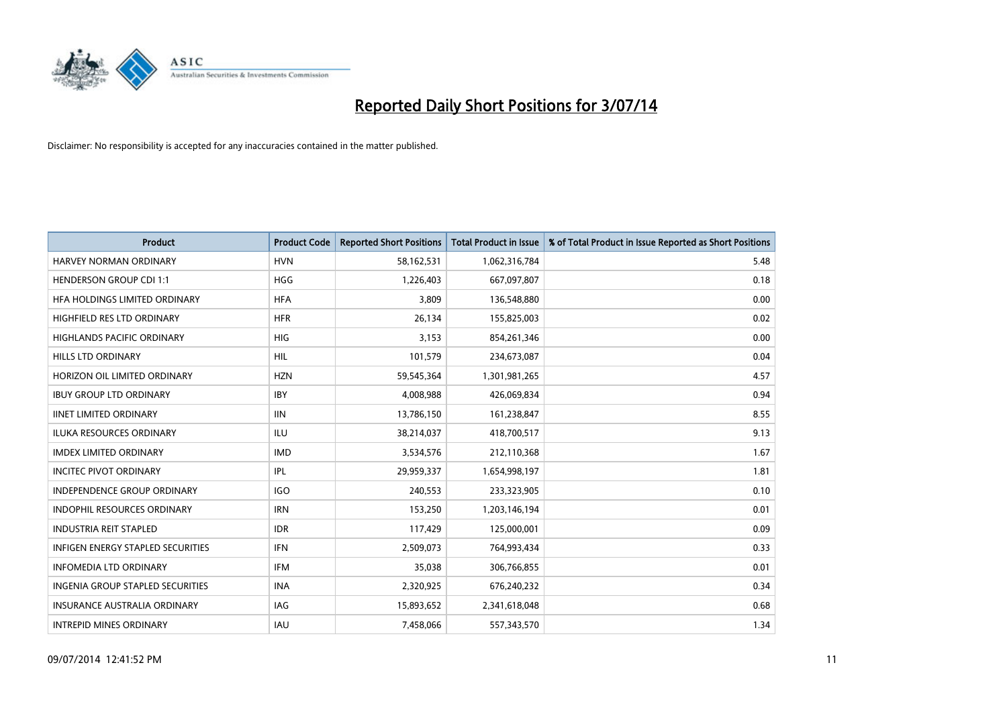

| <b>Product</b>                           | <b>Product Code</b> | <b>Reported Short Positions</b> | <b>Total Product in Issue</b> | % of Total Product in Issue Reported as Short Positions |
|------------------------------------------|---------------------|---------------------------------|-------------------------------|---------------------------------------------------------|
| HARVEY NORMAN ORDINARY                   | <b>HVN</b>          | 58,162,531                      | 1,062,316,784                 | 5.48                                                    |
| <b>HENDERSON GROUP CDI 1:1</b>           | <b>HGG</b>          | 1,226,403                       | 667,097,807                   | 0.18                                                    |
| HFA HOLDINGS LIMITED ORDINARY            | <b>HFA</b>          | 3,809                           | 136,548,880                   | 0.00                                                    |
| HIGHFIELD RES LTD ORDINARY               | <b>HFR</b>          | 26,134                          | 155,825,003                   | 0.02                                                    |
| <b>HIGHLANDS PACIFIC ORDINARY</b>        | <b>HIG</b>          | 3,153                           | 854,261,346                   | 0.00                                                    |
| <b>HILLS LTD ORDINARY</b>                | <b>HIL</b>          | 101,579                         | 234,673,087                   | 0.04                                                    |
| HORIZON OIL LIMITED ORDINARY             | <b>HZN</b>          | 59,545,364                      | 1,301,981,265                 | 4.57                                                    |
| <b>IBUY GROUP LTD ORDINARY</b>           | <b>IBY</b>          | 4,008,988                       | 426,069,834                   | 0.94                                                    |
| <b>IINET LIMITED ORDINARY</b>            | <b>IIN</b>          | 13,786,150                      | 161,238,847                   | 8.55                                                    |
| <b>ILUKA RESOURCES ORDINARY</b>          | ILU                 | 38,214,037                      | 418,700,517                   | 9.13                                                    |
| <b>IMDEX LIMITED ORDINARY</b>            | <b>IMD</b>          | 3,534,576                       | 212,110,368                   | 1.67                                                    |
| <b>INCITEC PIVOT ORDINARY</b>            | IPL                 | 29,959,337                      | 1,654,998,197                 | 1.81                                                    |
| <b>INDEPENDENCE GROUP ORDINARY</b>       | <b>IGO</b>          | 240,553                         | 233,323,905                   | 0.10                                                    |
| <b>INDOPHIL RESOURCES ORDINARY</b>       | <b>IRN</b>          | 153,250                         | 1,203,146,194                 | 0.01                                                    |
| <b>INDUSTRIA REIT STAPLED</b>            | <b>IDR</b>          | 117,429                         | 125,000,001                   | 0.09                                                    |
| <b>INFIGEN ENERGY STAPLED SECURITIES</b> | <b>IFN</b>          | 2,509,073                       | 764,993,434                   | 0.33                                                    |
| <b>INFOMEDIA LTD ORDINARY</b>            | IFM                 | 35,038                          | 306,766,855                   | 0.01                                                    |
| <b>INGENIA GROUP STAPLED SECURITIES</b>  | <b>INA</b>          | 2,320,925                       | 676,240,232                   | 0.34                                                    |
| <b>INSURANCE AUSTRALIA ORDINARY</b>      | <b>IAG</b>          | 15,893,652                      | 2,341,618,048                 | 0.68                                                    |
| <b>INTREPID MINES ORDINARY</b>           | <b>IAU</b>          | 7,458,066                       | 557,343,570                   | 1.34                                                    |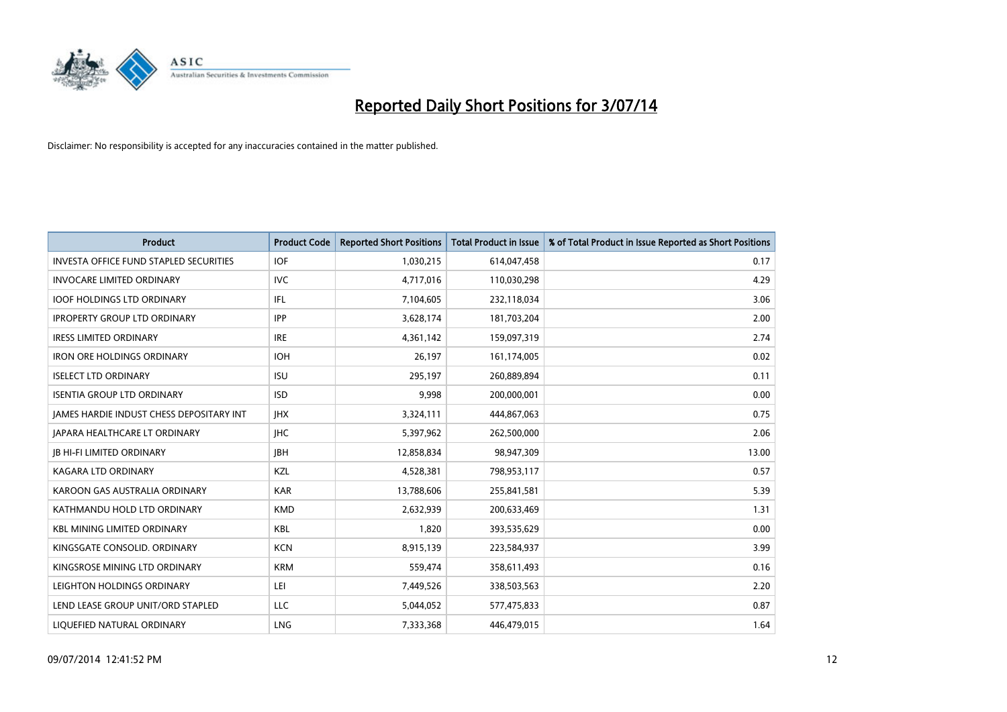

| <b>Product</b>                                | <b>Product Code</b> | <b>Reported Short Positions</b> | <b>Total Product in Issue</b> | % of Total Product in Issue Reported as Short Positions |
|-----------------------------------------------|---------------------|---------------------------------|-------------------------------|---------------------------------------------------------|
| <b>INVESTA OFFICE FUND STAPLED SECURITIES</b> | <b>IOF</b>          | 1,030,215                       | 614,047,458                   | 0.17                                                    |
| <b>INVOCARE LIMITED ORDINARY</b>              | IVC.                | 4,717,016                       | 110,030,298                   | 4.29                                                    |
| <b>IOOF HOLDINGS LTD ORDINARY</b>             | IFL                 | 7,104,605                       | 232,118,034                   | 3.06                                                    |
| <b>IPROPERTY GROUP LTD ORDINARY</b>           | <b>IPP</b>          | 3,628,174                       | 181,703,204                   | 2.00                                                    |
| <b>IRESS LIMITED ORDINARY</b>                 | <b>IRE</b>          | 4,361,142                       | 159,097,319                   | 2.74                                                    |
| <b>IRON ORE HOLDINGS ORDINARY</b>             | <b>IOH</b>          | 26,197                          | 161,174,005                   | 0.02                                                    |
| <b>ISELECT LTD ORDINARY</b>                   | <b>ISU</b>          | 295,197                         | 260,889,894                   | 0.11                                                    |
| <b>ISENTIA GROUP LTD ORDINARY</b>             | <b>ISD</b>          | 9,998                           | 200,000,001                   | 0.00                                                    |
| JAMES HARDIE INDUST CHESS DEPOSITARY INT      | <b>IHX</b>          | 3,324,111                       | 444,867,063                   | 0.75                                                    |
| <b>JAPARA HEALTHCARE LT ORDINARY</b>          | <b>IHC</b>          | 5,397,962                       | 262,500,000                   | 2.06                                                    |
| <b>JB HI-FI LIMITED ORDINARY</b>              | <b>JBH</b>          | 12,858,834                      | 98,947,309                    | 13.00                                                   |
| <b>KAGARA LTD ORDINARY</b>                    | KZL                 | 4,528,381                       | 798,953,117                   | 0.57                                                    |
| KAROON GAS AUSTRALIA ORDINARY                 | <b>KAR</b>          | 13,788,606                      | 255,841,581                   | 5.39                                                    |
| KATHMANDU HOLD LTD ORDINARY                   | <b>KMD</b>          | 2,632,939                       | 200,633,469                   | 1.31                                                    |
| <b>KBL MINING LIMITED ORDINARY</b>            | <b>KBL</b>          | 1,820                           | 393,535,629                   | 0.00                                                    |
| KINGSGATE CONSOLID. ORDINARY                  | <b>KCN</b>          | 8,915,139                       | 223,584,937                   | 3.99                                                    |
| KINGSROSE MINING LTD ORDINARY                 | <b>KRM</b>          | 559,474                         | 358,611,493                   | 0.16                                                    |
| LEIGHTON HOLDINGS ORDINARY                    | LEI                 | 7,449,526                       | 338,503,563                   | 2.20                                                    |
| LEND LEASE GROUP UNIT/ORD STAPLED             | LLC                 | 5,044,052                       | 577,475,833                   | 0.87                                                    |
| LIQUEFIED NATURAL ORDINARY                    | <b>LNG</b>          | 7,333,368                       | 446,479,015                   | 1.64                                                    |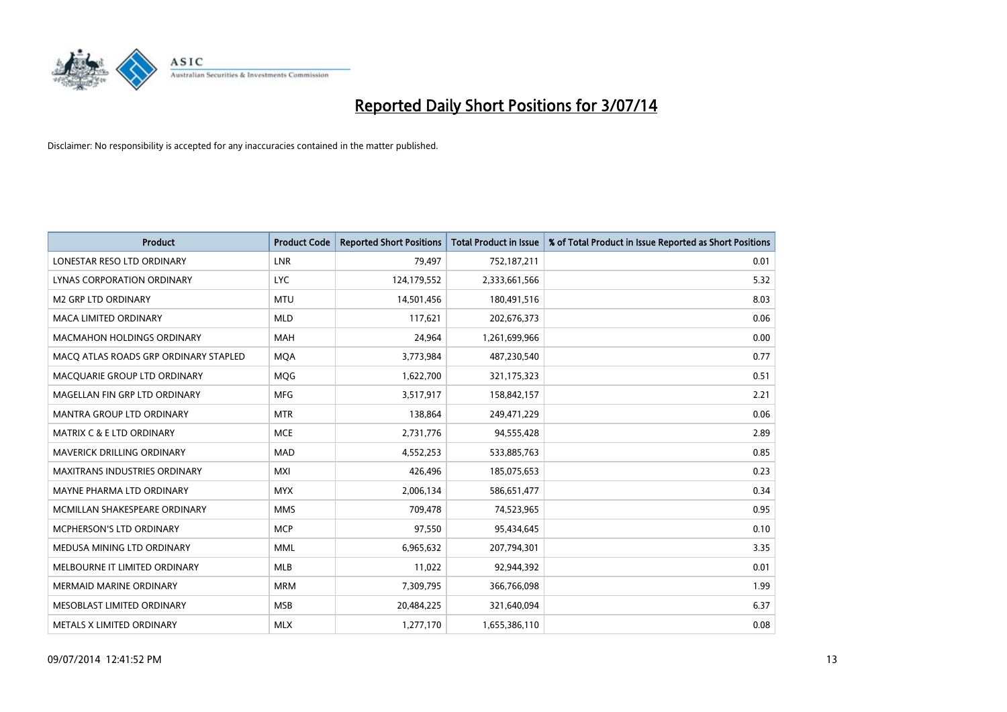

| <b>Product</b>                        | <b>Product Code</b> | <b>Reported Short Positions</b> | <b>Total Product in Issue</b> | % of Total Product in Issue Reported as Short Positions |
|---------------------------------------|---------------------|---------------------------------|-------------------------------|---------------------------------------------------------|
| LONESTAR RESO LTD ORDINARY            | LNR                 | 79,497                          | 752,187,211                   | 0.01                                                    |
| LYNAS CORPORATION ORDINARY            | <b>LYC</b>          | 124,179,552                     | 2,333,661,566                 | 5.32                                                    |
| <b>M2 GRP LTD ORDINARY</b>            | <b>MTU</b>          | 14,501,456                      | 180,491,516                   | 8.03                                                    |
| MACA LIMITED ORDINARY                 | <b>MLD</b>          | 117,621                         | 202,676,373                   | 0.06                                                    |
| <b>MACMAHON HOLDINGS ORDINARY</b>     | <b>MAH</b>          | 24,964                          | 1,261,699,966                 | 0.00                                                    |
| MACO ATLAS ROADS GRP ORDINARY STAPLED | <b>MQA</b>          | 3,773,984                       | 487,230,540                   | 0.77                                                    |
| MACQUARIE GROUP LTD ORDINARY          | <b>MOG</b>          | 1,622,700                       | 321,175,323                   | 0.51                                                    |
| MAGELLAN FIN GRP LTD ORDINARY         | <b>MFG</b>          | 3,517,917                       | 158,842,157                   | 2.21                                                    |
| <b>MANTRA GROUP LTD ORDINARY</b>      | <b>MTR</b>          | 138,864                         | 249,471,229                   | 0.06                                                    |
| <b>MATRIX C &amp; E LTD ORDINARY</b>  | <b>MCE</b>          | 2,731,776                       | 94,555,428                    | 2.89                                                    |
| MAVERICK DRILLING ORDINARY            | <b>MAD</b>          | 4,552,253                       | 533,885,763                   | 0.85                                                    |
| <b>MAXITRANS INDUSTRIES ORDINARY</b>  | <b>MXI</b>          | 426,496                         | 185,075,653                   | 0.23                                                    |
| MAYNE PHARMA LTD ORDINARY             | <b>MYX</b>          | 2,006,134                       | 586,651,477                   | 0.34                                                    |
| MCMILLAN SHAKESPEARE ORDINARY         | <b>MMS</b>          | 709,478                         | 74,523,965                    | 0.95                                                    |
| <b>MCPHERSON'S LTD ORDINARY</b>       | <b>MCP</b>          | 97,550                          | 95,434,645                    | 0.10                                                    |
| MEDUSA MINING LTD ORDINARY            | <b>MML</b>          | 6,965,632                       | 207,794,301                   | 3.35                                                    |
| MELBOURNE IT LIMITED ORDINARY         | MLB                 | 11,022                          | 92,944,392                    | 0.01                                                    |
| <b>MERMAID MARINE ORDINARY</b>        | <b>MRM</b>          | 7,309,795                       | 366,766,098                   | 1.99                                                    |
| MESOBLAST LIMITED ORDINARY            | <b>MSB</b>          | 20,484,225                      | 321,640,094                   | 6.37                                                    |
| METALS X LIMITED ORDINARY             | <b>MLX</b>          | 1,277,170                       | 1,655,386,110                 | 0.08                                                    |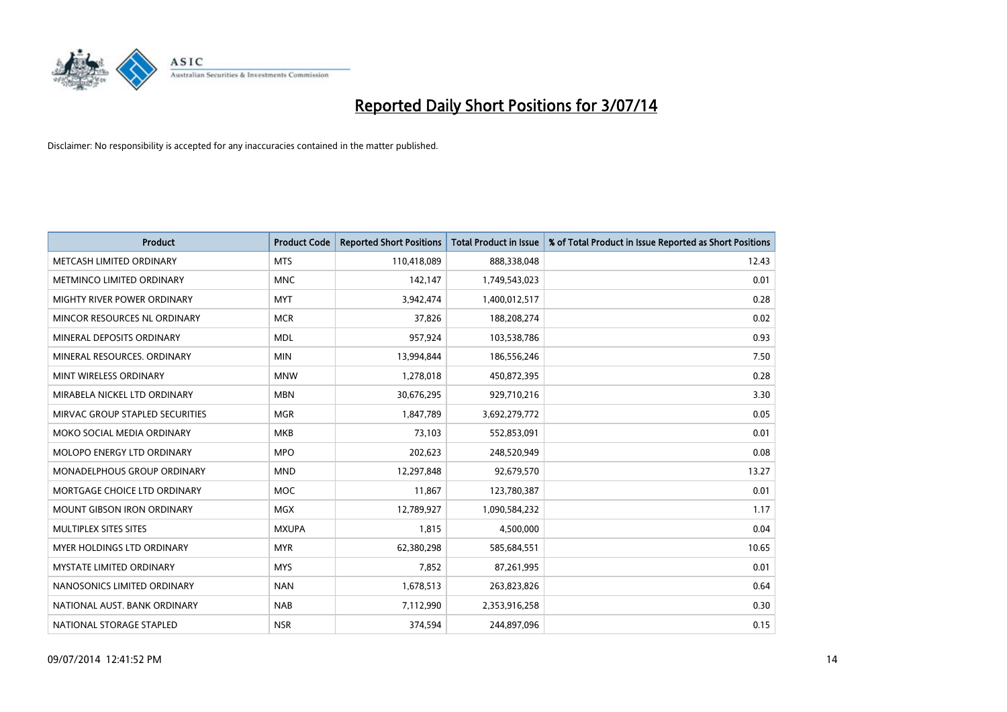

| <b>Product</b>                     | <b>Product Code</b> | <b>Reported Short Positions</b> | <b>Total Product in Issue</b> | % of Total Product in Issue Reported as Short Positions |
|------------------------------------|---------------------|---------------------------------|-------------------------------|---------------------------------------------------------|
| METCASH LIMITED ORDINARY           | <b>MTS</b>          | 110,418,089                     | 888,338,048                   | 12.43                                                   |
| METMINCO LIMITED ORDINARY          | <b>MNC</b>          | 142,147                         | 1,749,543,023                 | 0.01                                                    |
| MIGHTY RIVER POWER ORDINARY        | <b>MYT</b>          | 3,942,474                       | 1,400,012,517                 | 0.28                                                    |
| MINCOR RESOURCES NL ORDINARY       | <b>MCR</b>          | 37,826                          | 188,208,274                   | 0.02                                                    |
| MINERAL DEPOSITS ORDINARY          | <b>MDL</b>          | 957,924                         | 103,538,786                   | 0.93                                                    |
| MINERAL RESOURCES, ORDINARY        | <b>MIN</b>          | 13,994,844                      | 186,556,246                   | 7.50                                                    |
| MINT WIRELESS ORDINARY             | <b>MNW</b>          | 1,278,018                       | 450,872,395                   | 0.28                                                    |
| MIRABELA NICKEL LTD ORDINARY       | <b>MBN</b>          | 30,676,295                      | 929,710,216                   | 3.30                                                    |
| MIRVAC GROUP STAPLED SECURITIES    | <b>MGR</b>          | 1,847,789                       | 3,692,279,772                 | 0.05                                                    |
| MOKO SOCIAL MEDIA ORDINARY         | <b>MKB</b>          | 73,103                          | 552,853,091                   | 0.01                                                    |
| MOLOPO ENERGY LTD ORDINARY         | <b>MPO</b>          | 202,623                         | 248,520,949                   | 0.08                                                    |
| <b>MONADELPHOUS GROUP ORDINARY</b> | <b>MND</b>          | 12,297,848                      | 92,679,570                    | 13.27                                                   |
| MORTGAGE CHOICE LTD ORDINARY       | <b>MOC</b>          | 11,867                          | 123,780,387                   | 0.01                                                    |
| <b>MOUNT GIBSON IRON ORDINARY</b>  | <b>MGX</b>          | 12,789,927                      | 1,090,584,232                 | 1.17                                                    |
| MULTIPLEX SITES SITES              | <b>MXUPA</b>        | 1,815                           | 4,500,000                     | 0.04                                                    |
| MYER HOLDINGS LTD ORDINARY         | <b>MYR</b>          | 62,380,298                      | 585,684,551                   | 10.65                                                   |
| MYSTATE LIMITED ORDINARY           | <b>MYS</b>          | 7,852                           | 87,261,995                    | 0.01                                                    |
| NANOSONICS LIMITED ORDINARY        | <b>NAN</b>          | 1,678,513                       | 263,823,826                   | 0.64                                                    |
| NATIONAL AUST. BANK ORDINARY       | <b>NAB</b>          | 7,112,990                       | 2,353,916,258                 | 0.30                                                    |
| NATIONAL STORAGE STAPLED           | <b>NSR</b>          | 374,594                         | 244,897,096                   | 0.15                                                    |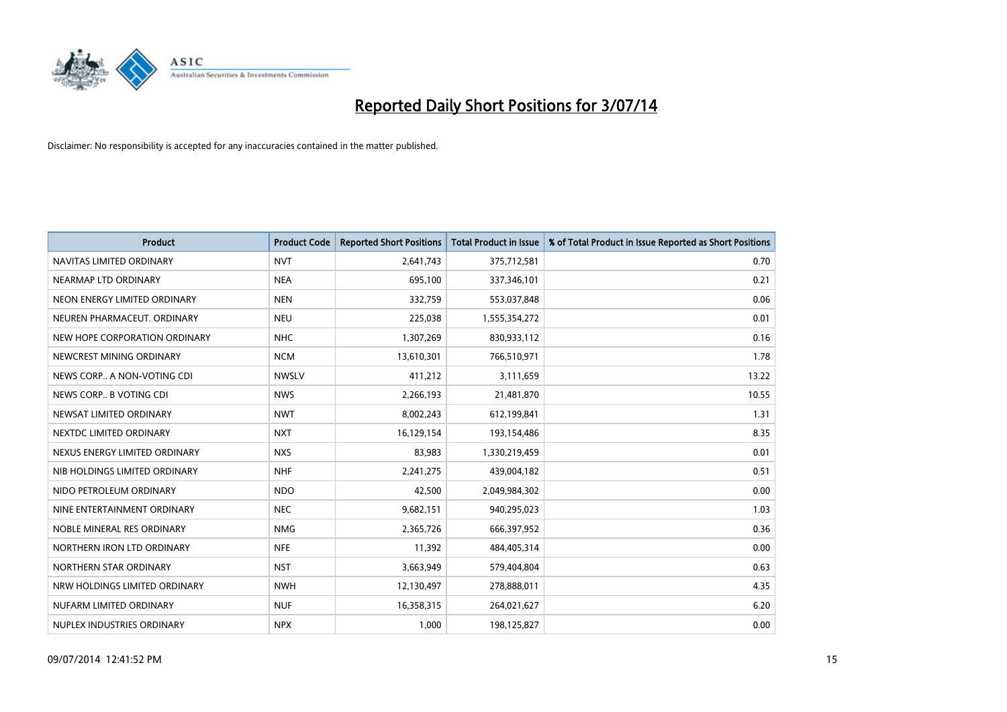

| <b>Product</b>                | <b>Product Code</b> | <b>Reported Short Positions</b> | <b>Total Product in Issue</b> | % of Total Product in Issue Reported as Short Positions |
|-------------------------------|---------------------|---------------------------------|-------------------------------|---------------------------------------------------------|
| NAVITAS LIMITED ORDINARY      | <b>NVT</b>          | 2,641,743                       | 375,712,581                   | 0.70                                                    |
| NEARMAP LTD ORDINARY          | <b>NEA</b>          | 695,100                         | 337,346,101                   | 0.21                                                    |
| NEON ENERGY LIMITED ORDINARY  | <b>NEN</b>          | 332,759                         | 553,037,848                   | 0.06                                                    |
| NEUREN PHARMACEUT, ORDINARY   | <b>NEU</b>          | 225,038                         | 1,555,354,272                 | 0.01                                                    |
| NEW HOPE CORPORATION ORDINARY | <b>NHC</b>          | 1,307,269                       | 830,933,112                   | 0.16                                                    |
| NEWCREST MINING ORDINARY      | <b>NCM</b>          | 13,610,301                      | 766,510,971                   | 1.78                                                    |
| NEWS CORP A NON-VOTING CDI    | <b>NWSLV</b>        | 411,212                         | 3,111,659                     | 13.22                                                   |
| NEWS CORP B VOTING CDI        | <b>NWS</b>          | 2,266,193                       | 21,481,870                    | 10.55                                                   |
| NEWSAT LIMITED ORDINARY       | <b>NWT</b>          | 8,002,243                       | 612,199,841                   | 1.31                                                    |
| NEXTDC LIMITED ORDINARY       | <b>NXT</b>          | 16,129,154                      | 193,154,486                   | 8.35                                                    |
| NEXUS ENERGY LIMITED ORDINARY | <b>NXS</b>          | 83,983                          | 1,330,219,459                 | 0.01                                                    |
| NIB HOLDINGS LIMITED ORDINARY | <b>NHF</b>          | 2,241,275                       | 439,004,182                   | 0.51                                                    |
| NIDO PETROLEUM ORDINARY       | <b>NDO</b>          | 42,500                          | 2,049,984,302                 | 0.00                                                    |
| NINE ENTERTAINMENT ORDINARY   | <b>NEC</b>          | 9,682,151                       | 940,295,023                   | 1.03                                                    |
| NOBLE MINERAL RES ORDINARY    | <b>NMG</b>          | 2,365,726                       | 666,397,952                   | 0.36                                                    |
| NORTHERN IRON LTD ORDINARY    | <b>NFE</b>          | 11,392                          | 484,405,314                   | 0.00                                                    |
| NORTHERN STAR ORDINARY        | <b>NST</b>          | 3,663,949                       | 579,404,804                   | 0.63                                                    |
| NRW HOLDINGS LIMITED ORDINARY | <b>NWH</b>          | 12,130,497                      | 278,888,011                   | 4.35                                                    |
| NUFARM LIMITED ORDINARY       | <b>NUF</b>          | 16,358,315                      | 264,021,627                   | 6.20                                                    |
| NUPLEX INDUSTRIES ORDINARY    | <b>NPX</b>          | 1,000                           | 198,125,827                   | 0.00                                                    |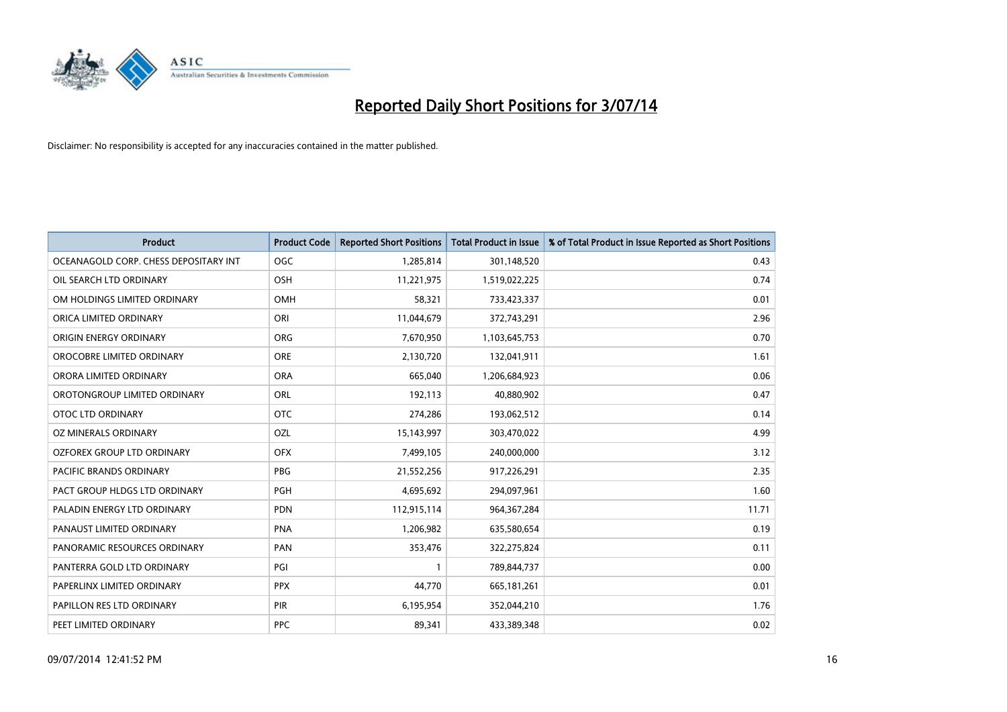

| Product                               | <b>Product Code</b> | <b>Reported Short Positions</b> | <b>Total Product in Issue</b> | % of Total Product in Issue Reported as Short Positions |
|---------------------------------------|---------------------|---------------------------------|-------------------------------|---------------------------------------------------------|
| OCEANAGOLD CORP. CHESS DEPOSITARY INT | <b>OGC</b>          | 1,285,814                       | 301,148,520                   | 0.43                                                    |
| OIL SEARCH LTD ORDINARY               | OSH                 | 11,221,975                      | 1,519,022,225                 | 0.74                                                    |
| OM HOLDINGS LIMITED ORDINARY          | OMH                 | 58,321                          | 733,423,337                   | 0.01                                                    |
| ORICA LIMITED ORDINARY                | ORI                 | 11,044,679                      | 372,743,291                   | 2.96                                                    |
| ORIGIN ENERGY ORDINARY                | <b>ORG</b>          | 7,670,950                       | 1,103,645,753                 | 0.70                                                    |
| OROCOBRE LIMITED ORDINARY             | <b>ORE</b>          | 2,130,720                       | 132,041,911                   | 1.61                                                    |
| ORORA LIMITED ORDINARY                | <b>ORA</b>          | 665,040                         | 1,206,684,923                 | 0.06                                                    |
| OROTONGROUP LIMITED ORDINARY          | ORL                 | 192,113                         | 40,880,902                    | 0.47                                                    |
| <b>OTOC LTD ORDINARY</b>              | <b>OTC</b>          | 274,286                         | 193,062,512                   | 0.14                                                    |
| OZ MINERALS ORDINARY                  | <b>OZL</b>          | 15,143,997                      | 303,470,022                   | 4.99                                                    |
| OZFOREX GROUP LTD ORDINARY            | <b>OFX</b>          | 7,499,105                       | 240,000,000                   | 3.12                                                    |
| PACIFIC BRANDS ORDINARY               | <b>PBG</b>          | 21,552,256                      | 917,226,291                   | 2.35                                                    |
| PACT GROUP HLDGS LTD ORDINARY         | PGH                 | 4,695,692                       | 294,097,961                   | 1.60                                                    |
| PALADIN ENERGY LTD ORDINARY           | <b>PDN</b>          | 112,915,114                     | 964, 367, 284                 | 11.71                                                   |
| PANAUST LIMITED ORDINARY              | <b>PNA</b>          | 1,206,982                       | 635,580,654                   | 0.19                                                    |
| PANORAMIC RESOURCES ORDINARY          | PAN                 | 353,476                         | 322,275,824                   | 0.11                                                    |
| PANTERRA GOLD LTD ORDINARY            | PGI                 | 1                               | 789,844,737                   | 0.00                                                    |
| PAPERLINX LIMITED ORDINARY            | <b>PPX</b>          | 44,770                          | 665,181,261                   | 0.01                                                    |
| PAPILLON RES LTD ORDINARY             | <b>PIR</b>          | 6,195,954                       | 352,044,210                   | 1.76                                                    |
| PEET LIMITED ORDINARY                 | <b>PPC</b>          | 89,341                          | 433,389,348                   | 0.02                                                    |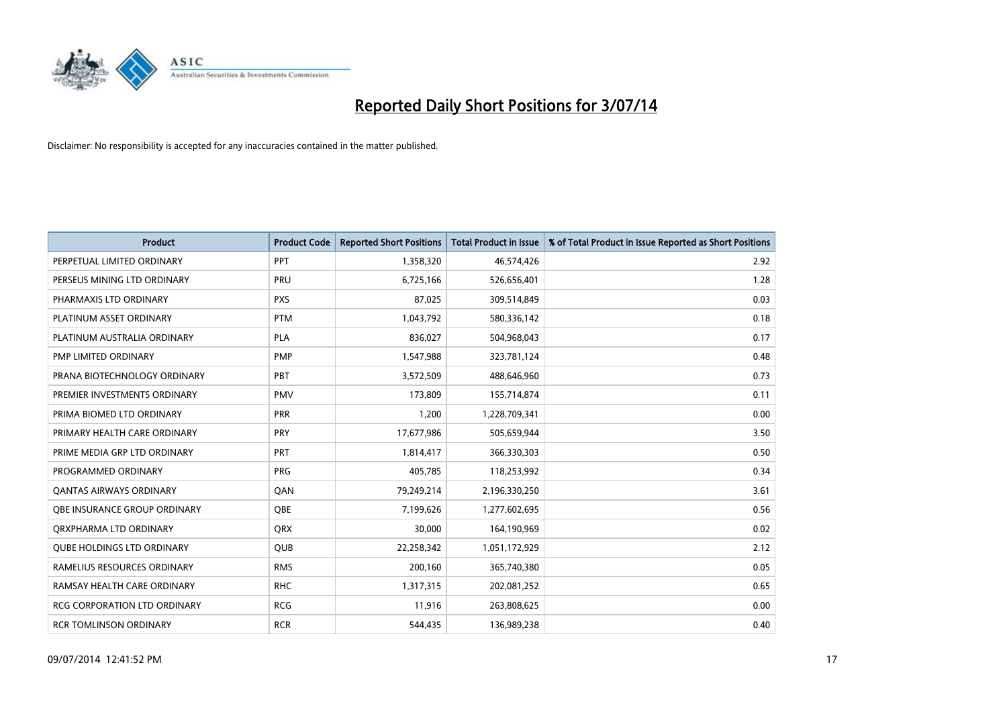

| <b>Product</b>                      | <b>Product Code</b> | <b>Reported Short Positions</b> | <b>Total Product in Issue</b> | % of Total Product in Issue Reported as Short Positions |
|-------------------------------------|---------------------|---------------------------------|-------------------------------|---------------------------------------------------------|
| PERPETUAL LIMITED ORDINARY          | PPT                 | 1,358,320                       | 46,574,426                    | 2.92                                                    |
| PERSEUS MINING LTD ORDINARY         | <b>PRU</b>          | 6,725,166                       | 526,656,401                   | 1.28                                                    |
| PHARMAXIS LTD ORDINARY              | <b>PXS</b>          | 87,025                          | 309,514,849                   | 0.03                                                    |
| PLATINUM ASSET ORDINARY             | <b>PTM</b>          | 1,043,792                       | 580,336,142                   | 0.18                                                    |
| PLATINUM AUSTRALIA ORDINARY         | <b>PLA</b>          | 836,027                         | 504,968,043                   | 0.17                                                    |
| PMP LIMITED ORDINARY                | <b>PMP</b>          | 1,547,988                       | 323,781,124                   | 0.48                                                    |
| PRANA BIOTECHNOLOGY ORDINARY        | PBT                 | 3,572,509                       | 488,646,960                   | 0.73                                                    |
| PREMIER INVESTMENTS ORDINARY        | <b>PMV</b>          | 173,809                         | 155,714,874                   | 0.11                                                    |
| PRIMA BIOMED LTD ORDINARY           | <b>PRR</b>          | 1,200                           | 1,228,709,341                 | 0.00                                                    |
| PRIMARY HEALTH CARE ORDINARY        | <b>PRY</b>          | 17,677,986                      | 505,659,944                   | 3.50                                                    |
| PRIME MEDIA GRP LTD ORDINARY        | <b>PRT</b>          | 1,814,417                       | 366,330,303                   | 0.50                                                    |
| PROGRAMMED ORDINARY                 | PRG                 | 405,785                         | 118,253,992                   | 0.34                                                    |
| <b>QANTAS AIRWAYS ORDINARY</b>      | QAN                 | 79,249,214                      | 2,196,330,250                 | 3.61                                                    |
| OBE INSURANCE GROUP ORDINARY        | <b>OBE</b>          | 7,199,626                       | 1,277,602,695                 | 0.56                                                    |
| ORXPHARMA LTD ORDINARY              | <b>QRX</b>          | 30,000                          | 164,190,969                   | 0.02                                                    |
| <b>QUBE HOLDINGS LTD ORDINARY</b>   | <b>QUB</b>          | 22,258,342                      | 1,051,172,929                 | 2.12                                                    |
| RAMELIUS RESOURCES ORDINARY         | <b>RMS</b>          | 200,160                         | 365,740,380                   | 0.05                                                    |
| RAMSAY HEALTH CARE ORDINARY         | <b>RHC</b>          | 1,317,315                       | 202,081,252                   | 0.65                                                    |
| <b>RCG CORPORATION LTD ORDINARY</b> | <b>RCG</b>          | 11,916                          | 263,808,625                   | 0.00                                                    |
| RCR TOMLINSON ORDINARY              | <b>RCR</b>          | 544,435                         | 136,989,238                   | 0.40                                                    |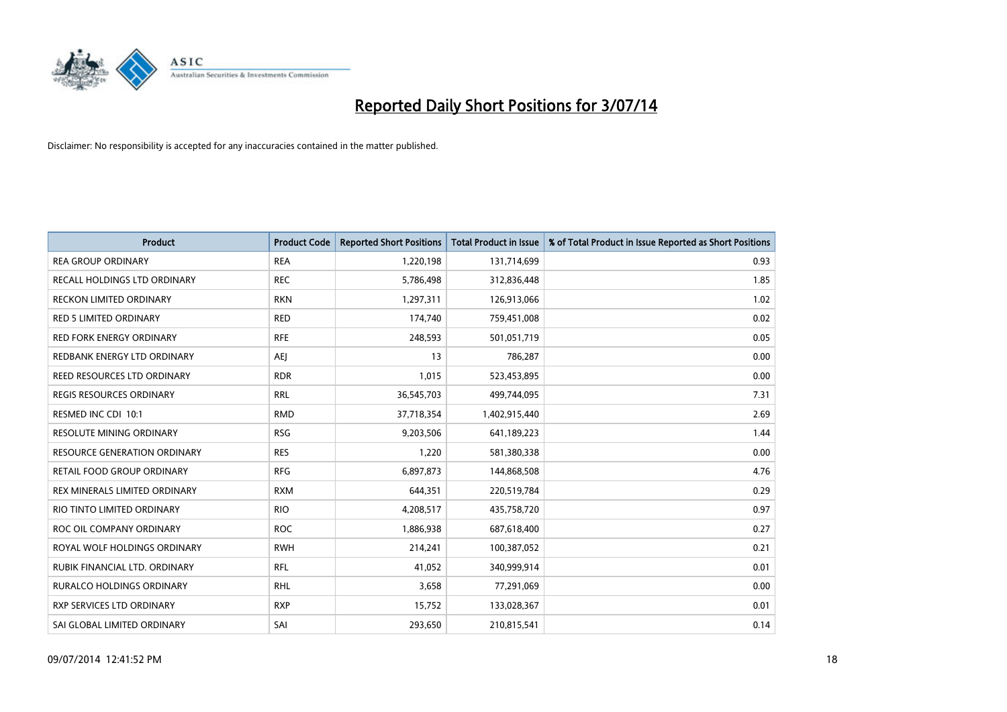

| <b>Product</b>                      | <b>Product Code</b> | <b>Reported Short Positions</b> | <b>Total Product in Issue</b> | % of Total Product in Issue Reported as Short Positions |
|-------------------------------------|---------------------|---------------------------------|-------------------------------|---------------------------------------------------------|
| <b>REA GROUP ORDINARY</b>           | <b>REA</b>          | 1,220,198                       | 131,714,699                   | 0.93                                                    |
| RECALL HOLDINGS LTD ORDINARY        | <b>REC</b>          | 5,786,498                       | 312,836,448                   | 1.85                                                    |
| <b>RECKON LIMITED ORDINARY</b>      | <b>RKN</b>          | 1,297,311                       | 126,913,066                   | 1.02                                                    |
| RED 5 LIMITED ORDINARY              | <b>RED</b>          | 174,740                         | 759,451,008                   | 0.02                                                    |
| <b>RED FORK ENERGY ORDINARY</b>     | <b>RFE</b>          | 248,593                         | 501,051,719                   | 0.05                                                    |
| REDBANK ENERGY LTD ORDINARY         | <b>AEJ</b>          | 13                              | 786,287                       | 0.00                                                    |
| REED RESOURCES LTD ORDINARY         | <b>RDR</b>          | 1,015                           | 523,453,895                   | 0.00                                                    |
| REGIS RESOURCES ORDINARY            | <b>RRL</b>          | 36,545,703                      | 499,744,095                   | 7.31                                                    |
| RESMED INC CDI 10:1                 | <b>RMD</b>          | 37,718,354                      | 1,402,915,440                 | 2.69                                                    |
| <b>RESOLUTE MINING ORDINARY</b>     | <b>RSG</b>          | 9,203,506                       | 641,189,223                   | 1.44                                                    |
| <b>RESOURCE GENERATION ORDINARY</b> | <b>RES</b>          | 1,220                           | 581,380,338                   | 0.00                                                    |
| RETAIL FOOD GROUP ORDINARY          | <b>RFG</b>          | 6,897,873                       | 144,868,508                   | 4.76                                                    |
| REX MINERALS LIMITED ORDINARY       | <b>RXM</b>          | 644,351                         | 220,519,784                   | 0.29                                                    |
| RIO TINTO LIMITED ORDINARY          | <b>RIO</b>          | 4,208,517                       | 435,758,720                   | 0.97                                                    |
| ROC OIL COMPANY ORDINARY            | <b>ROC</b>          | 1,886,938                       | 687,618,400                   | 0.27                                                    |
| ROYAL WOLF HOLDINGS ORDINARY        | <b>RWH</b>          | 214,241                         | 100,387,052                   | 0.21                                                    |
| RUBIK FINANCIAL LTD. ORDINARY       | RFL                 | 41,052                          | 340,999,914                   | 0.01                                                    |
| RURALCO HOLDINGS ORDINARY           | <b>RHL</b>          | 3,658                           | 77,291,069                    | 0.00                                                    |
| RXP SERVICES LTD ORDINARY           | <b>RXP</b>          | 15,752                          | 133,028,367                   | 0.01                                                    |
| SAI GLOBAL LIMITED ORDINARY         | SAI                 | 293,650                         | 210,815,541                   | 0.14                                                    |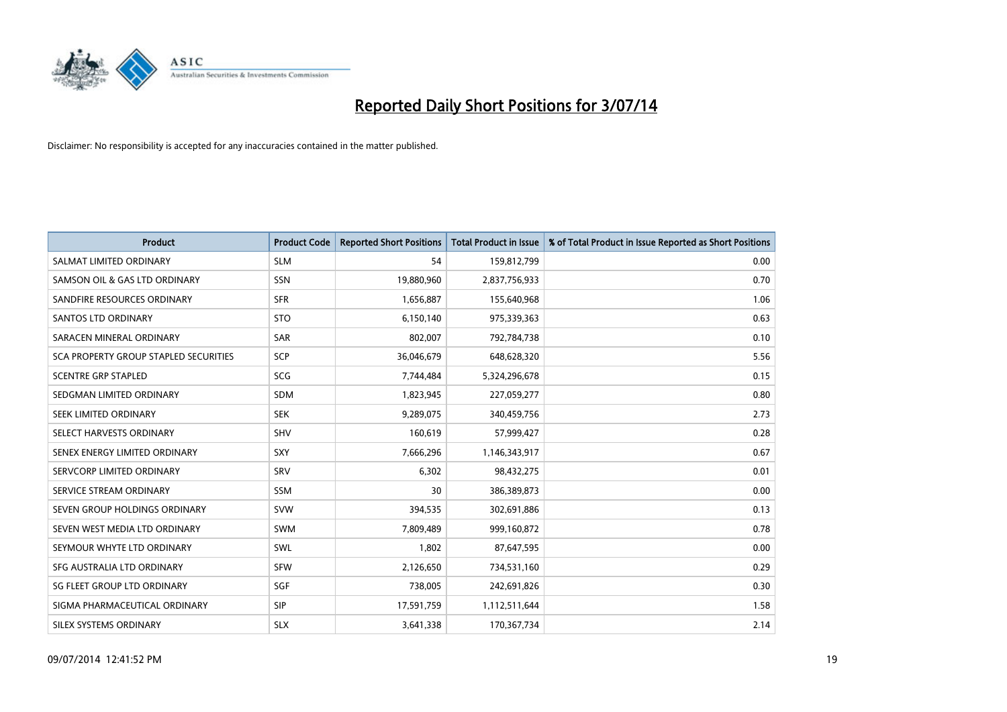

| <b>Product</b>                        | <b>Product Code</b> | <b>Reported Short Positions</b> | <b>Total Product in Issue</b> | % of Total Product in Issue Reported as Short Positions |
|---------------------------------------|---------------------|---------------------------------|-------------------------------|---------------------------------------------------------|
| SALMAT LIMITED ORDINARY               | <b>SLM</b>          | 54                              | 159,812,799                   | 0.00                                                    |
| SAMSON OIL & GAS LTD ORDINARY         | SSN                 | 19,880,960                      | 2,837,756,933                 | 0.70                                                    |
| SANDFIRE RESOURCES ORDINARY           | <b>SFR</b>          | 1,656,887                       | 155,640,968                   | 1.06                                                    |
| SANTOS LTD ORDINARY                   | <b>STO</b>          | 6,150,140                       | 975,339,363                   | 0.63                                                    |
| SARACEN MINERAL ORDINARY              | <b>SAR</b>          | 802,007                         | 792,784,738                   | 0.10                                                    |
| SCA PROPERTY GROUP STAPLED SECURITIES | <b>SCP</b>          | 36,046,679                      | 648,628,320                   | 5.56                                                    |
| <b>SCENTRE GRP STAPLED</b>            | <b>SCG</b>          | 7,744,484                       | 5,324,296,678                 | 0.15                                                    |
| SEDGMAN LIMITED ORDINARY              | SDM                 | 1,823,945                       | 227,059,277                   | 0.80                                                    |
| SEEK LIMITED ORDINARY                 | <b>SEK</b>          | 9,289,075                       | 340,459,756                   | 2.73                                                    |
| SELECT HARVESTS ORDINARY              | <b>SHV</b>          | 160,619                         | 57,999,427                    | 0.28                                                    |
| SENEX ENERGY LIMITED ORDINARY         | <b>SXY</b>          | 7,666,296                       | 1,146,343,917                 | 0.67                                                    |
| SERVCORP LIMITED ORDINARY             | SRV                 | 6,302                           | 98,432,275                    | 0.01                                                    |
| SERVICE STREAM ORDINARY               | SSM                 | 30                              | 386,389,873                   | 0.00                                                    |
| SEVEN GROUP HOLDINGS ORDINARY         | <b>SVW</b>          | 394,535                         | 302,691,886                   | 0.13                                                    |
| SEVEN WEST MEDIA LTD ORDINARY         | <b>SWM</b>          | 7,809,489                       | 999,160,872                   | 0.78                                                    |
| SEYMOUR WHYTE LTD ORDINARY            | SWL                 | 1,802                           | 87,647,595                    | 0.00                                                    |
| SFG AUSTRALIA LTD ORDINARY            | <b>SFW</b>          | 2,126,650                       | 734,531,160                   | 0.29                                                    |
| SG FLEET GROUP LTD ORDINARY           | <b>SGF</b>          | 738,005                         | 242,691,826                   | 0.30                                                    |
| SIGMA PHARMACEUTICAL ORDINARY         | <b>SIP</b>          | 17,591,759                      | 1,112,511,644                 | 1.58                                                    |
| SILEX SYSTEMS ORDINARY                | <b>SLX</b>          | 3,641,338                       | 170,367,734                   | 2.14                                                    |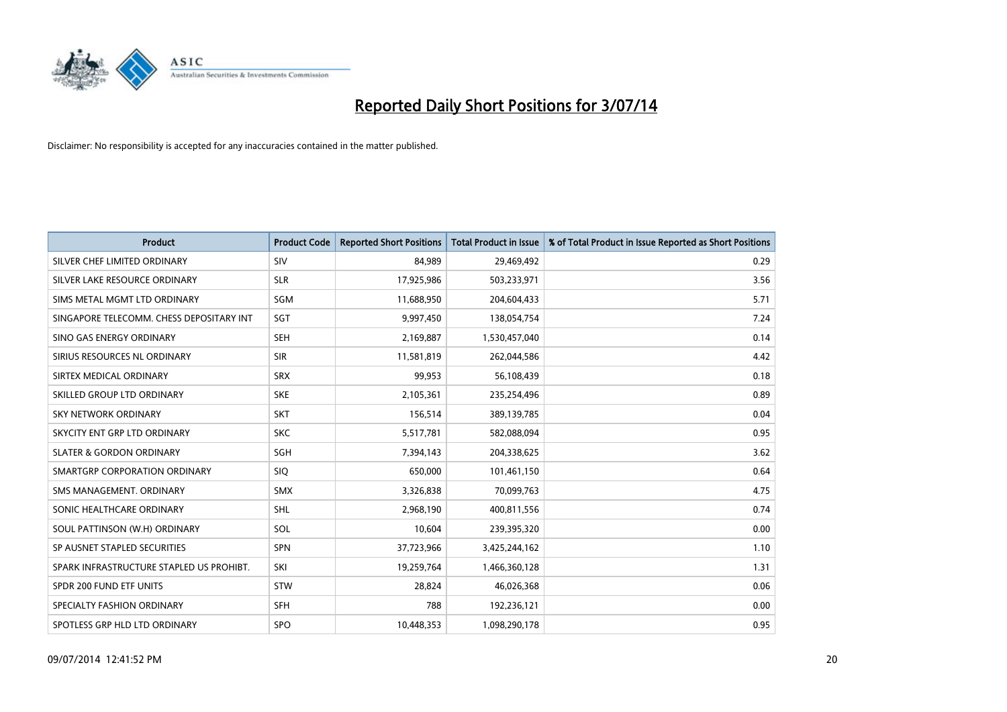

| <b>Product</b>                           | <b>Product Code</b> | <b>Reported Short Positions</b> | <b>Total Product in Issue</b> | % of Total Product in Issue Reported as Short Positions |
|------------------------------------------|---------------------|---------------------------------|-------------------------------|---------------------------------------------------------|
| SILVER CHEF LIMITED ORDINARY             | SIV                 | 84,989                          | 29,469,492                    | 0.29                                                    |
| SILVER LAKE RESOURCE ORDINARY            | <b>SLR</b>          | 17,925,986                      | 503,233,971                   | 3.56                                                    |
| SIMS METAL MGMT LTD ORDINARY             | SGM                 | 11,688,950                      | 204,604,433                   | 5.71                                                    |
| SINGAPORE TELECOMM. CHESS DEPOSITARY INT | SGT                 | 9,997,450                       | 138,054,754                   | 7.24                                                    |
| SINO GAS ENERGY ORDINARY                 | <b>SEH</b>          | 2,169,887                       | 1,530,457,040                 | 0.14                                                    |
| SIRIUS RESOURCES NL ORDINARY             | <b>SIR</b>          | 11,581,819                      | 262,044,586                   | 4.42                                                    |
| SIRTEX MEDICAL ORDINARY                  | <b>SRX</b>          | 99,953                          | 56,108,439                    | 0.18                                                    |
| SKILLED GROUP LTD ORDINARY               | <b>SKE</b>          | 2,105,361                       | 235,254,496                   | 0.89                                                    |
| <b>SKY NETWORK ORDINARY</b>              | <b>SKT</b>          | 156,514                         | 389,139,785                   | 0.04                                                    |
| SKYCITY ENT GRP LTD ORDINARY             | <b>SKC</b>          | 5,517,781                       | 582,088,094                   | 0.95                                                    |
| <b>SLATER &amp; GORDON ORDINARY</b>      | SGH                 | 7,394,143                       | 204,338,625                   | 3.62                                                    |
| SMARTGRP CORPORATION ORDINARY            | <b>SIQ</b>          | 650,000                         | 101,461,150                   | 0.64                                                    |
| SMS MANAGEMENT, ORDINARY                 | <b>SMX</b>          | 3,326,838                       | 70,099,763                    | 4.75                                                    |
| SONIC HEALTHCARE ORDINARY                | SHL                 | 2,968,190                       | 400,811,556                   | 0.74                                                    |
| SOUL PATTINSON (W.H) ORDINARY            | SOL                 | 10,604                          | 239,395,320                   | 0.00                                                    |
| SP AUSNET STAPLED SECURITIES             | SPN                 | 37,723,966                      | 3,425,244,162                 | 1.10                                                    |
| SPARK INFRASTRUCTURE STAPLED US PROHIBT. | SKI                 | 19,259,764                      | 1,466,360,128                 | 1.31                                                    |
| SPDR 200 FUND ETF UNITS                  | <b>STW</b>          | 28,824                          | 46,026,368                    | 0.06                                                    |
| SPECIALTY FASHION ORDINARY               | <b>SFH</b>          | 788                             | 192,236,121                   | 0.00                                                    |
| SPOTLESS GRP HLD LTD ORDINARY            | SPO                 | 10,448,353                      | 1,098,290,178                 | 0.95                                                    |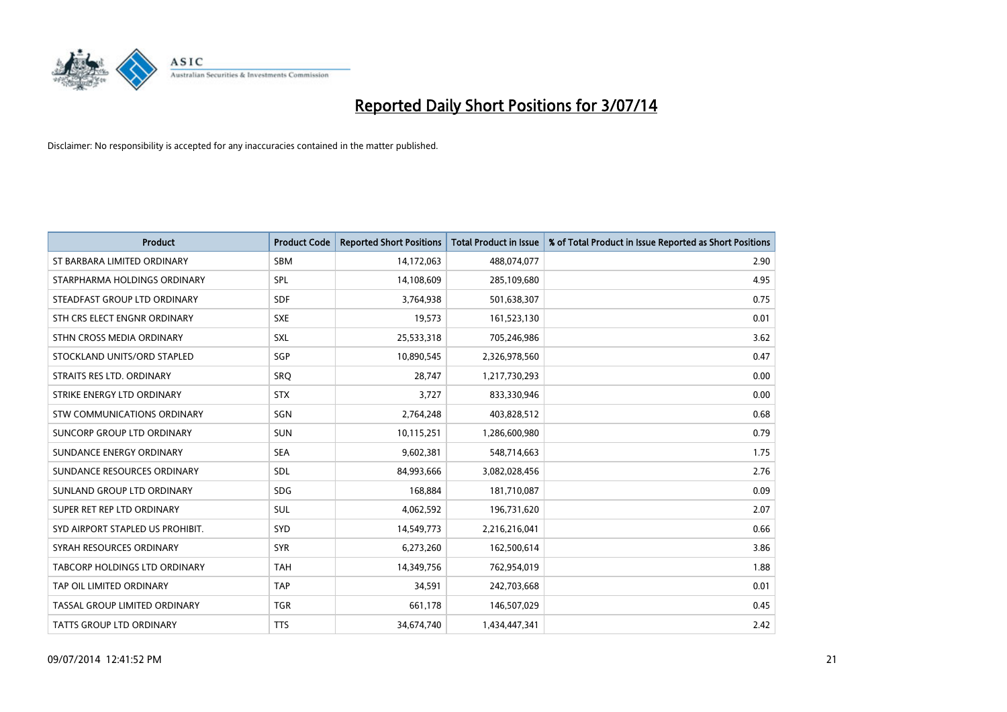

| <b>Product</b>                   | <b>Product Code</b> | <b>Reported Short Positions</b> | <b>Total Product in Issue</b> | % of Total Product in Issue Reported as Short Positions |
|----------------------------------|---------------------|---------------------------------|-------------------------------|---------------------------------------------------------|
| ST BARBARA LIMITED ORDINARY      | <b>SBM</b>          | 14,172,063                      | 488,074,077                   | 2.90                                                    |
| STARPHARMA HOLDINGS ORDINARY     | <b>SPL</b>          | 14,108,609                      | 285,109,680                   | 4.95                                                    |
| STEADFAST GROUP LTD ORDINARY     | <b>SDF</b>          | 3,764,938                       | 501,638,307                   | 0.75                                                    |
| STH CRS ELECT ENGNR ORDINARY     | <b>SXE</b>          | 19,573                          | 161,523,130                   | 0.01                                                    |
| STHN CROSS MEDIA ORDINARY        | SXL                 | 25,533,318                      | 705,246,986                   | 3.62                                                    |
| STOCKLAND UNITS/ORD STAPLED      | SGP                 | 10,890,545                      | 2,326,978,560                 | 0.47                                                    |
| STRAITS RES LTD. ORDINARY        | <b>SRO</b>          | 28,747                          | 1,217,730,293                 | 0.00                                                    |
| STRIKE ENERGY LTD ORDINARY       | <b>STX</b>          | 3.727                           | 833,330,946                   | 0.00                                                    |
| STW COMMUNICATIONS ORDINARY      | SGN                 | 2,764,248                       | 403,828,512                   | 0.68                                                    |
| SUNCORP GROUP LTD ORDINARY       | <b>SUN</b>          | 10,115,251                      | 1,286,600,980                 | 0.79                                                    |
| SUNDANCE ENERGY ORDINARY         | <b>SEA</b>          | 9,602,381                       | 548,714,663                   | 1.75                                                    |
| SUNDANCE RESOURCES ORDINARY      | <b>SDL</b>          | 84,993,666                      | 3,082,028,456                 | 2.76                                                    |
| SUNLAND GROUP LTD ORDINARY       | <b>SDG</b>          | 168,884                         | 181,710,087                   | 0.09                                                    |
| SUPER RET REP LTD ORDINARY       | SUL                 | 4,062,592                       | 196,731,620                   | 2.07                                                    |
| SYD AIRPORT STAPLED US PROHIBIT. | <b>SYD</b>          | 14,549,773                      | 2,216,216,041                 | 0.66                                                    |
| SYRAH RESOURCES ORDINARY         | <b>SYR</b>          | 6,273,260                       | 162,500,614                   | 3.86                                                    |
| TABCORP HOLDINGS LTD ORDINARY    | TAH                 | 14,349,756                      | 762,954,019                   | 1.88                                                    |
| TAP OIL LIMITED ORDINARY         | <b>TAP</b>          | 34,591                          | 242,703,668                   | 0.01                                                    |
| TASSAL GROUP LIMITED ORDINARY    | <b>TGR</b>          | 661,178                         | 146,507,029                   | 0.45                                                    |
| TATTS GROUP LTD ORDINARY         | <b>TTS</b>          | 34,674,740                      | 1,434,447,341                 | 2.42                                                    |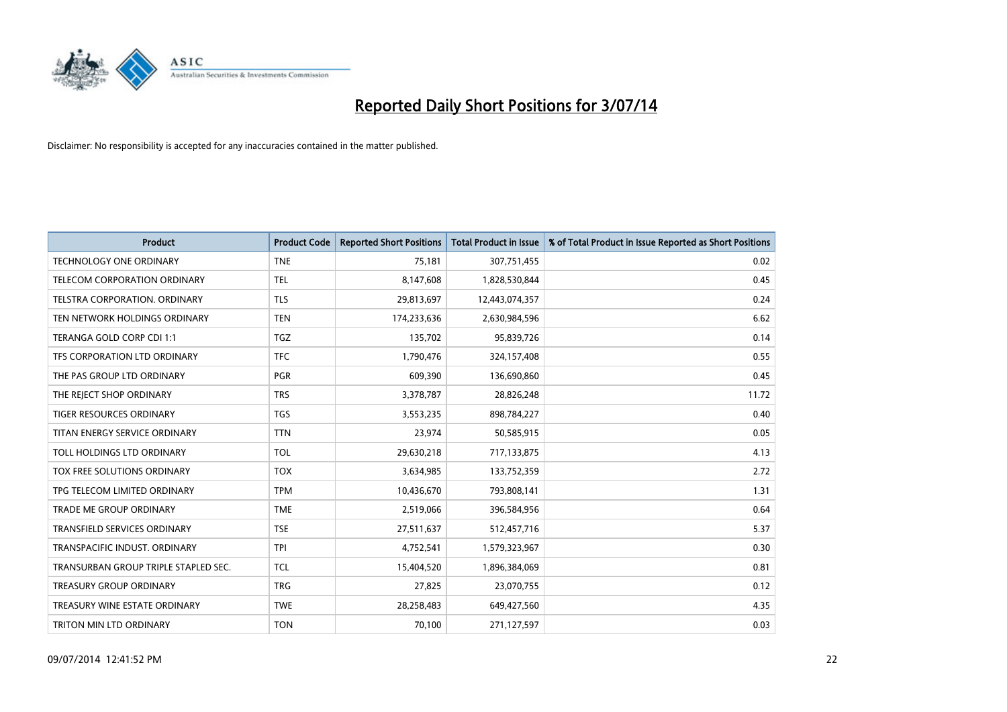

| <b>Product</b>                       | <b>Product Code</b> | <b>Reported Short Positions</b> | <b>Total Product in Issue</b> | % of Total Product in Issue Reported as Short Positions |
|--------------------------------------|---------------------|---------------------------------|-------------------------------|---------------------------------------------------------|
| <b>TECHNOLOGY ONE ORDINARY</b>       | <b>TNE</b>          | 75,181                          | 307,751,455                   | 0.02                                                    |
| TELECOM CORPORATION ORDINARY         | <b>TEL</b>          | 8,147,608                       | 1,828,530,844                 | 0.45                                                    |
| TELSTRA CORPORATION. ORDINARY        | <b>TLS</b>          | 29,813,697                      | 12,443,074,357                | 0.24                                                    |
| TEN NETWORK HOLDINGS ORDINARY        | <b>TEN</b>          | 174,233,636                     | 2,630,984,596                 | 6.62                                                    |
| TERANGA GOLD CORP CDI 1:1            | <b>TGZ</b>          | 135,702                         | 95,839,726                    | 0.14                                                    |
| TFS CORPORATION LTD ORDINARY         | <b>TFC</b>          | 1,790,476                       | 324,157,408                   | 0.55                                                    |
| THE PAS GROUP LTD ORDINARY           | <b>PGR</b>          | 609,390                         | 136,690,860                   | 0.45                                                    |
| THE REJECT SHOP ORDINARY             | <b>TRS</b>          | 3,378,787                       | 28,826,248                    | 11.72                                                   |
| <b>TIGER RESOURCES ORDINARY</b>      | <b>TGS</b>          | 3,553,235                       | 898,784,227                   | 0.40                                                    |
| TITAN ENERGY SERVICE ORDINARY        | <b>TTN</b>          | 23,974                          | 50,585,915                    | 0.05                                                    |
| TOLL HOLDINGS LTD ORDINARY           | <b>TOL</b>          | 29,630,218                      | 717,133,875                   | 4.13                                                    |
| TOX FREE SOLUTIONS ORDINARY          | <b>TOX</b>          | 3,634,985                       | 133,752,359                   | 2.72                                                    |
| TPG TELECOM LIMITED ORDINARY         | <b>TPM</b>          | 10,436,670                      | 793,808,141                   | 1.31                                                    |
| <b>TRADE ME GROUP ORDINARY</b>       | <b>TME</b>          | 2,519,066                       | 396,584,956                   | 0.64                                                    |
| TRANSFIELD SERVICES ORDINARY         | <b>TSE</b>          | 27,511,637                      | 512,457,716                   | 5.37                                                    |
| TRANSPACIFIC INDUST. ORDINARY        | <b>TPI</b>          | 4,752,541                       | 1,579,323,967                 | 0.30                                                    |
| TRANSURBAN GROUP TRIPLE STAPLED SEC. | <b>TCL</b>          | 15,404,520                      | 1,896,384,069                 | 0.81                                                    |
| <b>TREASURY GROUP ORDINARY</b>       | <b>TRG</b>          | 27,825                          | 23,070,755                    | 0.12                                                    |
| TREASURY WINE ESTATE ORDINARY        | <b>TWE</b>          | 28,258,483                      | 649,427,560                   | 4.35                                                    |
| TRITON MIN LTD ORDINARY              | <b>TON</b>          | 70,100                          | 271,127,597                   | 0.03                                                    |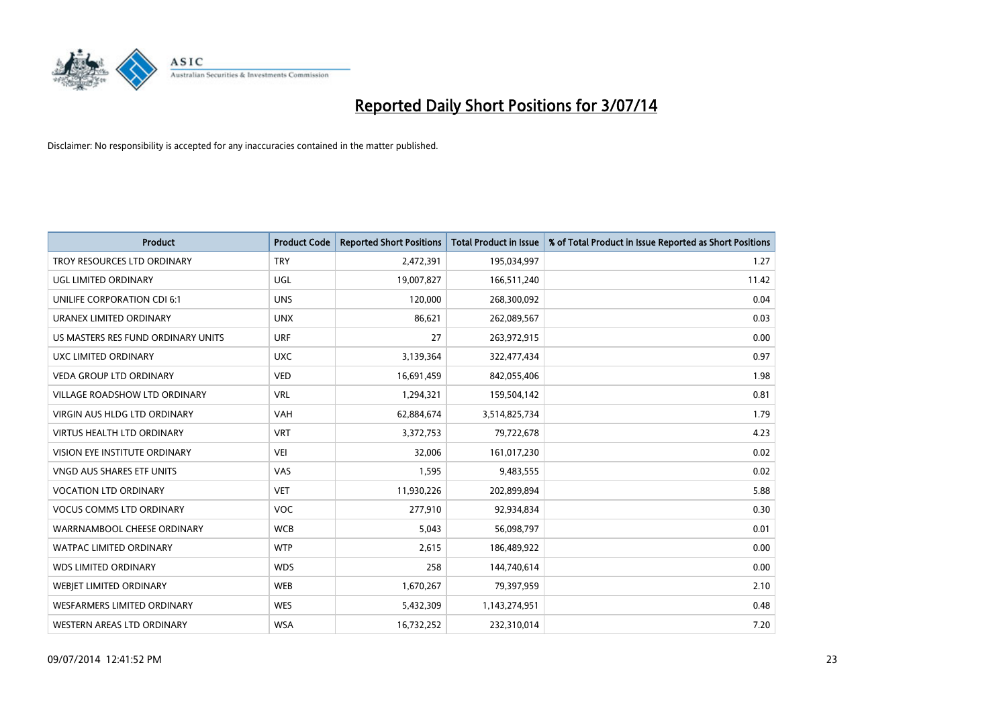

| <b>Product</b>                       | <b>Product Code</b> | <b>Reported Short Positions</b> | <b>Total Product in Issue</b> | % of Total Product in Issue Reported as Short Positions |
|--------------------------------------|---------------------|---------------------------------|-------------------------------|---------------------------------------------------------|
| TROY RESOURCES LTD ORDINARY          | <b>TRY</b>          | 2,472,391                       | 195,034,997                   | 1.27                                                    |
| UGL LIMITED ORDINARY                 | UGL                 | 19,007,827                      | 166,511,240                   | 11.42                                                   |
| UNILIFE CORPORATION CDI 6:1          | <b>UNS</b>          | 120,000                         | 268,300,092                   | 0.04                                                    |
| URANEX LIMITED ORDINARY              | <b>UNX</b>          | 86,621                          | 262,089,567                   | 0.03                                                    |
| US MASTERS RES FUND ORDINARY UNITS   | <b>URF</b>          | 27                              | 263,972,915                   | 0.00                                                    |
| UXC LIMITED ORDINARY                 | <b>UXC</b>          | 3,139,364                       | 322,477,434                   | 0.97                                                    |
| <b>VEDA GROUP LTD ORDINARY</b>       | <b>VED</b>          | 16,691,459                      | 842,055,406                   | 1.98                                                    |
| <b>VILLAGE ROADSHOW LTD ORDINARY</b> | <b>VRL</b>          | 1,294,321                       | 159,504,142                   | 0.81                                                    |
| VIRGIN AUS HLDG LTD ORDINARY         | <b>VAH</b>          | 62,884,674                      | 3,514,825,734                 | 1.79                                                    |
| <b>VIRTUS HEALTH LTD ORDINARY</b>    | <b>VRT</b>          | 3,372,753                       | 79,722,678                    | 4.23                                                    |
| VISION EYE INSTITUTE ORDINARY        | <b>VEI</b>          | 32,006                          | 161,017,230                   | 0.02                                                    |
| <b>VNGD AUS SHARES ETF UNITS</b>     | VAS                 | 1,595                           | 9,483,555                     | 0.02                                                    |
| <b>VOCATION LTD ORDINARY</b>         | <b>VET</b>          | 11,930,226                      | 202,899,894                   | 5.88                                                    |
| <b>VOCUS COMMS LTD ORDINARY</b>      | <b>VOC</b>          | 277,910                         | 92,934,834                    | 0.30                                                    |
| WARRNAMBOOL CHEESE ORDINARY          | <b>WCB</b>          | 5,043                           | 56,098,797                    | 0.01                                                    |
| WATPAC LIMITED ORDINARY              | <b>WTP</b>          | 2,615                           | 186,489,922                   | 0.00                                                    |
| <b>WDS LIMITED ORDINARY</b>          | <b>WDS</b>          | 258                             | 144,740,614                   | 0.00                                                    |
| WEBJET LIMITED ORDINARY              | <b>WEB</b>          | 1,670,267                       | 79,397,959                    | 2.10                                                    |
| WESFARMERS LIMITED ORDINARY          | <b>WES</b>          | 5,432,309                       | 1,143,274,951                 | 0.48                                                    |
| WESTERN AREAS LTD ORDINARY           | <b>WSA</b>          | 16,732,252                      | 232,310,014                   | 7.20                                                    |